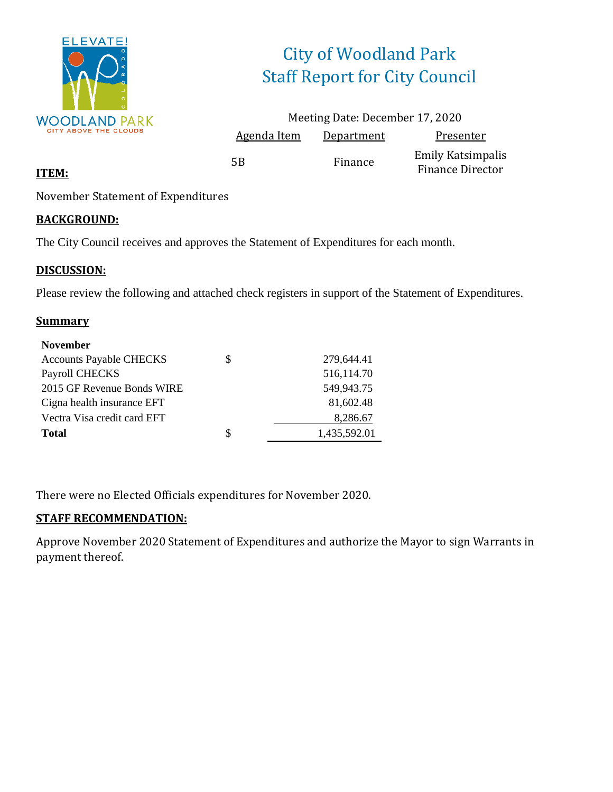

# City of Woodland Park Staff Report for City Council

|             | Meeting Date: December 17, 2020 |                                              |
|-------------|---------------------------------|----------------------------------------------|
| Agenda Item | Department                      | Presenter                                    |
| 5Β          | Finance                         | Emily Katsimpalis<br><b>Finance Director</b> |

#### **ITEM:**

November Statement of Expenditures

#### **BACKGROUND:**

The City Council receives and approves the Statement of Expenditures for each month.

#### **DISCUSSION:**

Please review the following and attached check registers in support of the Statement of Expenditures.

#### **Summary**

| <b>November</b>                |   |              |
|--------------------------------|---|--------------|
| <b>Accounts Payable CHECKS</b> | S | 279.644.41   |
| Payroll CHECKS                 |   | 516,114.70   |
| 2015 GF Revenue Bonds WIRE     |   | 549,943.75   |
| Cigna health insurance EFT     |   | 81,602.48    |
| Vectra Visa credit card EFT    |   | 8,286.67     |
| <b>Total</b>                   | S | 1,435,592.01 |

There were no Elected Officials expenditures for November 2020.

#### **STAFF RECOMMENDATION:**

Approve November 2020 Statement of Expenditures and authorize the Mayor to sign Warrants in payment thereof.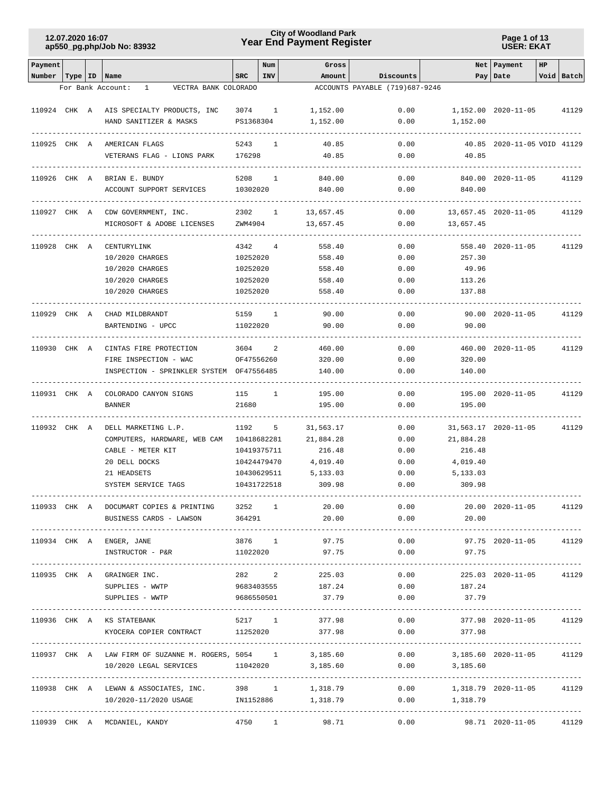## **Year End Payment Register City of Woodland Park 12.07.2020 16:07**

**Page 1 of 13 USER: EKAT**

| Pay Date<br>Void Batch<br>Number   Type   ID<br>Name<br><b>SRC</b><br>INV<br>Amount<br>Discounts<br>ACCOUNTS PAYABLE (719)687-9246<br>For Bank Account:<br>VECTRA BANK COLORADO<br>$\mathbf{1}$<br>110924 CHK A AIS SPECIALTY PRODUCTS, INC<br>0.00<br>1,152.00 2020-11-05<br>41129<br>3074 1<br>1,152.00<br>PS1368304<br>0.00<br>HAND SANITIZER & MASKS<br>1,152.00<br>1,152.00<br>0.00<br>110925 CHK A<br>5243<br>40.85<br>40.85 2020-11-05 VOID 41129<br>AMERICAN FLAGS<br>1<br>VETERANS FLAG - LIONS PARK<br>176298<br>40.85<br>0.00<br>40.85<br>110926 CHK A<br>5208<br>840.00<br>0.00<br>840.00 2020-11-05<br>41129<br>BRIAN E. BUNDY<br>1<br>10302020<br>0.00<br>ACCOUNT SUPPORT SERVICES<br>840.00<br>840.00<br>CDW GOVERNMENT, INC.<br>2302<br>13,657.45<br>0.00<br>13,657.45 2020-11-05<br>110927 CHK A<br>$\mathbf{1}$<br>41129<br>MICROSOFT & ADOBE LICENSES<br>ZWM4904<br>13,657.45<br>0.00<br>13,657.45<br>0.00<br>4342<br>558.40<br>558.40 2020-11-05<br>110928 CHK A<br>CENTURYLINK<br>4<br>41129<br>10/2020 CHARGES<br>10252020<br>558.40<br>0.00<br>257.30<br>10/2020 CHARGES<br>0.00<br>49.96<br>10252020<br>558.40<br>10/2020 CHARGES<br>10252020<br>0.00<br>113.26<br>558.40<br>0.00<br>10/2020 CHARGES<br>10252020<br>558.40<br>137.88<br>CHAD MILDBRANDT<br>5159 1<br>90.00<br>0.00<br>90.00 2020-11-05<br>110929 CHK A<br>41129<br>11022020<br>90.00<br>0.00<br>90.00<br>BARTENDING - UPCC<br>0.00<br>110930 CHK A<br>CINTAS FIRE PROTECTION<br>3604<br>460.00<br>460.00 2020-11-05<br>2<br>41129<br>FIRE INSPECTION - WAC<br>OF47556260<br>320.00<br>0.00<br>320.00<br>INSPECTION - SPRINKLER SYSTEM OF47556485<br>140.00<br>0.00<br>140.00<br>110931 CHK A<br>COLORADO CANYON SIGNS<br>0.00<br>195.00 2020-11-05<br>115<br>$\mathbf{1}$<br>195.00<br>41129<br>21680<br>0.00<br>BANNER<br>195.00<br>195.00<br>110932 CHK A<br>1192<br>5<br>31,563.17<br>0.00<br>31,563.17 2020-11-05<br>DELL MARKETING L.P.<br>41129<br>COMPUTERS, HARDWARE, WEB CAM 10418682281<br>21,884.28<br>0.00<br>21,884.28<br>CABLE - METER KIT<br>216.48<br>0.00<br>216.48<br>10419375711<br>20 DELL DOCKS<br>10424479470<br>4,019.40<br>0.00<br>4,019.40<br>21 HEADSETS<br>5,133.03<br>0.00<br>10430629511<br>5,133.03<br>309.98<br>0.00<br>SYSTEM SERVICE TAGS<br>10431722518<br>309.98<br>110933 CHK A DOCUMART COPIES & PRINTING 3252 1 20.00<br>0.00<br>20.00 2020-11-05 41129<br>BUSINESS CARDS - LAWSON<br>364291<br>20.00<br>0.00<br>20.00<br>97.75<br>110934 CHK A ENGER, JANE<br>3876 1<br>$0.00$ 97.75 2020-11-05 41129<br>INSTRUCTOR - P&R<br>97.75<br>$0.00$ 97.75<br>11022020<br>282 2 225.03<br>0.00<br>110935 CHK A GRAINGER INC.<br>225.03 2020-11-05<br>41129<br>9683403555 187.24<br>$0.00$ 187.24<br>SUPPLIES - WWTP<br>9686550501 37.79<br>0.00<br>SUPPLIES - WWTP<br>37.79<br>5217 1<br>0.00<br>110936 CHK A KS STATEBANK<br>377.98<br>377.98 2020-11-05 41129<br>11252020<br>377.98<br>0.00<br>KYOCERA COPIER CONTRACT<br>377.98<br>110937 CHK A LAW FIRM OF SUZANNE M. ROGERS, 5054 1 3,185.60 0.00 3,185.60 2020-11-05 41129<br>10/2020 LEGAL SERVICES 11042020 3,185.60<br>$0.00$ 3,185.60<br>110938 CHK A LEWAN & ASSOCIATES, INC. 398 1 1,318.79<br>$0.00$ 1,318.79 2020-11-05 41129<br>10/2020-11/2020 USAGE 1N1152886 1,318.79<br>$0.00$ 1,318.79<br>110939 CHK A MCDANIEL, KANDY<br>4750 1<br>98.71<br>0.00<br>98.71  2020-11-05  41129 | Payment |  |  | Num | Gross |  | Net Payment | HP |  |
|--------------------------------------------------------------------------------------------------------------------------------------------------------------------------------------------------------------------------------------------------------------------------------------------------------------------------------------------------------------------------------------------------------------------------------------------------------------------------------------------------------------------------------------------------------------------------------------------------------------------------------------------------------------------------------------------------------------------------------------------------------------------------------------------------------------------------------------------------------------------------------------------------------------------------------------------------------------------------------------------------------------------------------------------------------------------------------------------------------------------------------------------------------------------------------------------------------------------------------------------------------------------------------------------------------------------------------------------------------------------------------------------------------------------------------------------------------------------------------------------------------------------------------------------------------------------------------------------------------------------------------------------------------------------------------------------------------------------------------------------------------------------------------------------------------------------------------------------------------------------------------------------------------------------------------------------------------------------------------------------------------------------------------------------------------------------------------------------------------------------------------------------------------------------------------------------------------------------------------------------------------------------------------------------------------------------------------------------------------------------------------------------------------------------------------------------------------------------------------------------------------------------------------------------------------------------------------------------------------------------------------------------------------------------------------------------------------------------------------------------------------------------------------------------------------------------------------------------------------------------------------------------------------------------------------------------------------------------------------------------------------------------------------------------------------------------------------------------------------------------------------------------------------------------------------------------------------------------------------------------------------------------------------------------------------------------------------------------------------------------------|---------|--|--|-----|-------|--|-------------|----|--|
|                                                                                                                                                                                                                                                                                                                                                                                                                                                                                                                                                                                                                                                                                                                                                                                                                                                                                                                                                                                                                                                                                                                                                                                                                                                                                                                                                                                                                                                                                                                                                                                                                                                                                                                                                                                                                                                                                                                                                                                                                                                                                                                                                                                                                                                                                                                                                                                                                                                                                                                                                                                                                                                                                                                                                                                                                                                                                                                                                                                                                                                                                                                                                                                                                                                                                                                                                                          |         |  |  |     |       |  |             |    |  |
|                                                                                                                                                                                                                                                                                                                                                                                                                                                                                                                                                                                                                                                                                                                                                                                                                                                                                                                                                                                                                                                                                                                                                                                                                                                                                                                                                                                                                                                                                                                                                                                                                                                                                                                                                                                                                                                                                                                                                                                                                                                                                                                                                                                                                                                                                                                                                                                                                                                                                                                                                                                                                                                                                                                                                                                                                                                                                                                                                                                                                                                                                                                                                                                                                                                                                                                                                                          |         |  |  |     |       |  |             |    |  |
|                                                                                                                                                                                                                                                                                                                                                                                                                                                                                                                                                                                                                                                                                                                                                                                                                                                                                                                                                                                                                                                                                                                                                                                                                                                                                                                                                                                                                                                                                                                                                                                                                                                                                                                                                                                                                                                                                                                                                                                                                                                                                                                                                                                                                                                                                                                                                                                                                                                                                                                                                                                                                                                                                                                                                                                                                                                                                                                                                                                                                                                                                                                                                                                                                                                                                                                                                                          |         |  |  |     |       |  |             |    |  |
|                                                                                                                                                                                                                                                                                                                                                                                                                                                                                                                                                                                                                                                                                                                                                                                                                                                                                                                                                                                                                                                                                                                                                                                                                                                                                                                                                                                                                                                                                                                                                                                                                                                                                                                                                                                                                                                                                                                                                                                                                                                                                                                                                                                                                                                                                                                                                                                                                                                                                                                                                                                                                                                                                                                                                                                                                                                                                                                                                                                                                                                                                                                                                                                                                                                                                                                                                                          |         |  |  |     |       |  |             |    |  |
|                                                                                                                                                                                                                                                                                                                                                                                                                                                                                                                                                                                                                                                                                                                                                                                                                                                                                                                                                                                                                                                                                                                                                                                                                                                                                                                                                                                                                                                                                                                                                                                                                                                                                                                                                                                                                                                                                                                                                                                                                                                                                                                                                                                                                                                                                                                                                                                                                                                                                                                                                                                                                                                                                                                                                                                                                                                                                                                                                                                                                                                                                                                                                                                                                                                                                                                                                                          |         |  |  |     |       |  |             |    |  |
|                                                                                                                                                                                                                                                                                                                                                                                                                                                                                                                                                                                                                                                                                                                                                                                                                                                                                                                                                                                                                                                                                                                                                                                                                                                                                                                                                                                                                                                                                                                                                                                                                                                                                                                                                                                                                                                                                                                                                                                                                                                                                                                                                                                                                                                                                                                                                                                                                                                                                                                                                                                                                                                                                                                                                                                                                                                                                                                                                                                                                                                                                                                                                                                                                                                                                                                                                                          |         |  |  |     |       |  |             |    |  |
|                                                                                                                                                                                                                                                                                                                                                                                                                                                                                                                                                                                                                                                                                                                                                                                                                                                                                                                                                                                                                                                                                                                                                                                                                                                                                                                                                                                                                                                                                                                                                                                                                                                                                                                                                                                                                                                                                                                                                                                                                                                                                                                                                                                                                                                                                                                                                                                                                                                                                                                                                                                                                                                                                                                                                                                                                                                                                                                                                                                                                                                                                                                                                                                                                                                                                                                                                                          |         |  |  |     |       |  |             |    |  |
|                                                                                                                                                                                                                                                                                                                                                                                                                                                                                                                                                                                                                                                                                                                                                                                                                                                                                                                                                                                                                                                                                                                                                                                                                                                                                                                                                                                                                                                                                                                                                                                                                                                                                                                                                                                                                                                                                                                                                                                                                                                                                                                                                                                                                                                                                                                                                                                                                                                                                                                                                                                                                                                                                                                                                                                                                                                                                                                                                                                                                                                                                                                                                                                                                                                                                                                                                                          |         |  |  |     |       |  |             |    |  |
|                                                                                                                                                                                                                                                                                                                                                                                                                                                                                                                                                                                                                                                                                                                                                                                                                                                                                                                                                                                                                                                                                                                                                                                                                                                                                                                                                                                                                                                                                                                                                                                                                                                                                                                                                                                                                                                                                                                                                                                                                                                                                                                                                                                                                                                                                                                                                                                                                                                                                                                                                                                                                                                                                                                                                                                                                                                                                                                                                                                                                                                                                                                                                                                                                                                                                                                                                                          |         |  |  |     |       |  |             |    |  |
|                                                                                                                                                                                                                                                                                                                                                                                                                                                                                                                                                                                                                                                                                                                                                                                                                                                                                                                                                                                                                                                                                                                                                                                                                                                                                                                                                                                                                                                                                                                                                                                                                                                                                                                                                                                                                                                                                                                                                                                                                                                                                                                                                                                                                                                                                                                                                                                                                                                                                                                                                                                                                                                                                                                                                                                                                                                                                                                                                                                                                                                                                                                                                                                                                                                                                                                                                                          |         |  |  |     |       |  |             |    |  |
|                                                                                                                                                                                                                                                                                                                                                                                                                                                                                                                                                                                                                                                                                                                                                                                                                                                                                                                                                                                                                                                                                                                                                                                                                                                                                                                                                                                                                                                                                                                                                                                                                                                                                                                                                                                                                                                                                                                                                                                                                                                                                                                                                                                                                                                                                                                                                                                                                                                                                                                                                                                                                                                                                                                                                                                                                                                                                                                                                                                                                                                                                                                                                                                                                                                                                                                                                                          |         |  |  |     |       |  |             |    |  |
|                                                                                                                                                                                                                                                                                                                                                                                                                                                                                                                                                                                                                                                                                                                                                                                                                                                                                                                                                                                                                                                                                                                                                                                                                                                                                                                                                                                                                                                                                                                                                                                                                                                                                                                                                                                                                                                                                                                                                                                                                                                                                                                                                                                                                                                                                                                                                                                                                                                                                                                                                                                                                                                                                                                                                                                                                                                                                                                                                                                                                                                                                                                                                                                                                                                                                                                                                                          |         |  |  |     |       |  |             |    |  |
|                                                                                                                                                                                                                                                                                                                                                                                                                                                                                                                                                                                                                                                                                                                                                                                                                                                                                                                                                                                                                                                                                                                                                                                                                                                                                                                                                                                                                                                                                                                                                                                                                                                                                                                                                                                                                                                                                                                                                                                                                                                                                                                                                                                                                                                                                                                                                                                                                                                                                                                                                                                                                                                                                                                                                                                                                                                                                                                                                                                                                                                                                                                                                                                                                                                                                                                                                                          |         |  |  |     |       |  |             |    |  |
|                                                                                                                                                                                                                                                                                                                                                                                                                                                                                                                                                                                                                                                                                                                                                                                                                                                                                                                                                                                                                                                                                                                                                                                                                                                                                                                                                                                                                                                                                                                                                                                                                                                                                                                                                                                                                                                                                                                                                                                                                                                                                                                                                                                                                                                                                                                                                                                                                                                                                                                                                                                                                                                                                                                                                                                                                                                                                                                                                                                                                                                                                                                                                                                                                                                                                                                                                                          |         |  |  |     |       |  |             |    |  |
|                                                                                                                                                                                                                                                                                                                                                                                                                                                                                                                                                                                                                                                                                                                                                                                                                                                                                                                                                                                                                                                                                                                                                                                                                                                                                                                                                                                                                                                                                                                                                                                                                                                                                                                                                                                                                                                                                                                                                                                                                                                                                                                                                                                                                                                                                                                                                                                                                                                                                                                                                                                                                                                                                                                                                                                                                                                                                                                                                                                                                                                                                                                                                                                                                                                                                                                                                                          |         |  |  |     |       |  |             |    |  |
|                                                                                                                                                                                                                                                                                                                                                                                                                                                                                                                                                                                                                                                                                                                                                                                                                                                                                                                                                                                                                                                                                                                                                                                                                                                                                                                                                                                                                                                                                                                                                                                                                                                                                                                                                                                                                                                                                                                                                                                                                                                                                                                                                                                                                                                                                                                                                                                                                                                                                                                                                                                                                                                                                                                                                                                                                                                                                                                                                                                                                                                                                                                                                                                                                                                                                                                                                                          |         |  |  |     |       |  |             |    |  |
|                                                                                                                                                                                                                                                                                                                                                                                                                                                                                                                                                                                                                                                                                                                                                                                                                                                                                                                                                                                                                                                                                                                                                                                                                                                                                                                                                                                                                                                                                                                                                                                                                                                                                                                                                                                                                                                                                                                                                                                                                                                                                                                                                                                                                                                                                                                                                                                                                                                                                                                                                                                                                                                                                                                                                                                                                                                                                                                                                                                                                                                                                                                                                                                                                                                                                                                                                                          |         |  |  |     |       |  |             |    |  |
|                                                                                                                                                                                                                                                                                                                                                                                                                                                                                                                                                                                                                                                                                                                                                                                                                                                                                                                                                                                                                                                                                                                                                                                                                                                                                                                                                                                                                                                                                                                                                                                                                                                                                                                                                                                                                                                                                                                                                                                                                                                                                                                                                                                                                                                                                                                                                                                                                                                                                                                                                                                                                                                                                                                                                                                                                                                                                                                                                                                                                                                                                                                                                                                                                                                                                                                                                                          |         |  |  |     |       |  |             |    |  |
|                                                                                                                                                                                                                                                                                                                                                                                                                                                                                                                                                                                                                                                                                                                                                                                                                                                                                                                                                                                                                                                                                                                                                                                                                                                                                                                                                                                                                                                                                                                                                                                                                                                                                                                                                                                                                                                                                                                                                                                                                                                                                                                                                                                                                                                                                                                                                                                                                                                                                                                                                                                                                                                                                                                                                                                                                                                                                                                                                                                                                                                                                                                                                                                                                                                                                                                                                                          |         |  |  |     |       |  |             |    |  |
|                                                                                                                                                                                                                                                                                                                                                                                                                                                                                                                                                                                                                                                                                                                                                                                                                                                                                                                                                                                                                                                                                                                                                                                                                                                                                                                                                                                                                                                                                                                                                                                                                                                                                                                                                                                                                                                                                                                                                                                                                                                                                                                                                                                                                                                                                                                                                                                                                                                                                                                                                                                                                                                                                                                                                                                                                                                                                                                                                                                                                                                                                                                                                                                                                                                                                                                                                                          |         |  |  |     |       |  |             |    |  |
|                                                                                                                                                                                                                                                                                                                                                                                                                                                                                                                                                                                                                                                                                                                                                                                                                                                                                                                                                                                                                                                                                                                                                                                                                                                                                                                                                                                                                                                                                                                                                                                                                                                                                                                                                                                                                                                                                                                                                                                                                                                                                                                                                                                                                                                                                                                                                                                                                                                                                                                                                                                                                                                                                                                                                                                                                                                                                                                                                                                                                                                                                                                                                                                                                                                                                                                                                                          |         |  |  |     |       |  |             |    |  |
|                                                                                                                                                                                                                                                                                                                                                                                                                                                                                                                                                                                                                                                                                                                                                                                                                                                                                                                                                                                                                                                                                                                                                                                                                                                                                                                                                                                                                                                                                                                                                                                                                                                                                                                                                                                                                                                                                                                                                                                                                                                                                                                                                                                                                                                                                                                                                                                                                                                                                                                                                                                                                                                                                                                                                                                                                                                                                                                                                                                                                                                                                                                                                                                                                                                                                                                                                                          |         |  |  |     |       |  |             |    |  |
|                                                                                                                                                                                                                                                                                                                                                                                                                                                                                                                                                                                                                                                                                                                                                                                                                                                                                                                                                                                                                                                                                                                                                                                                                                                                                                                                                                                                                                                                                                                                                                                                                                                                                                                                                                                                                                                                                                                                                                                                                                                                                                                                                                                                                                                                                                                                                                                                                                                                                                                                                                                                                                                                                                                                                                                                                                                                                                                                                                                                                                                                                                                                                                                                                                                                                                                                                                          |         |  |  |     |       |  |             |    |  |
|                                                                                                                                                                                                                                                                                                                                                                                                                                                                                                                                                                                                                                                                                                                                                                                                                                                                                                                                                                                                                                                                                                                                                                                                                                                                                                                                                                                                                                                                                                                                                                                                                                                                                                                                                                                                                                                                                                                                                                                                                                                                                                                                                                                                                                                                                                                                                                                                                                                                                                                                                                                                                                                                                                                                                                                                                                                                                                                                                                                                                                                                                                                                                                                                                                                                                                                                                                          |         |  |  |     |       |  |             |    |  |
|                                                                                                                                                                                                                                                                                                                                                                                                                                                                                                                                                                                                                                                                                                                                                                                                                                                                                                                                                                                                                                                                                                                                                                                                                                                                                                                                                                                                                                                                                                                                                                                                                                                                                                                                                                                                                                                                                                                                                                                                                                                                                                                                                                                                                                                                                                                                                                                                                                                                                                                                                                                                                                                                                                                                                                                                                                                                                                                                                                                                                                                                                                                                                                                                                                                                                                                                                                          |         |  |  |     |       |  |             |    |  |
|                                                                                                                                                                                                                                                                                                                                                                                                                                                                                                                                                                                                                                                                                                                                                                                                                                                                                                                                                                                                                                                                                                                                                                                                                                                                                                                                                                                                                                                                                                                                                                                                                                                                                                                                                                                                                                                                                                                                                                                                                                                                                                                                                                                                                                                                                                                                                                                                                                                                                                                                                                                                                                                                                                                                                                                                                                                                                                                                                                                                                                                                                                                                                                                                                                                                                                                                                                          |         |  |  |     |       |  |             |    |  |
|                                                                                                                                                                                                                                                                                                                                                                                                                                                                                                                                                                                                                                                                                                                                                                                                                                                                                                                                                                                                                                                                                                                                                                                                                                                                                                                                                                                                                                                                                                                                                                                                                                                                                                                                                                                                                                                                                                                                                                                                                                                                                                                                                                                                                                                                                                                                                                                                                                                                                                                                                                                                                                                                                                                                                                                                                                                                                                                                                                                                                                                                                                                                                                                                                                                                                                                                                                          |         |  |  |     |       |  |             |    |  |
|                                                                                                                                                                                                                                                                                                                                                                                                                                                                                                                                                                                                                                                                                                                                                                                                                                                                                                                                                                                                                                                                                                                                                                                                                                                                                                                                                                                                                                                                                                                                                                                                                                                                                                                                                                                                                                                                                                                                                                                                                                                                                                                                                                                                                                                                                                                                                                                                                                                                                                                                                                                                                                                                                                                                                                                                                                                                                                                                                                                                                                                                                                                                                                                                                                                                                                                                                                          |         |  |  |     |       |  |             |    |  |
|                                                                                                                                                                                                                                                                                                                                                                                                                                                                                                                                                                                                                                                                                                                                                                                                                                                                                                                                                                                                                                                                                                                                                                                                                                                                                                                                                                                                                                                                                                                                                                                                                                                                                                                                                                                                                                                                                                                                                                                                                                                                                                                                                                                                                                                                                                                                                                                                                                                                                                                                                                                                                                                                                                                                                                                                                                                                                                                                                                                                                                                                                                                                                                                                                                                                                                                                                                          |         |  |  |     |       |  |             |    |  |
|                                                                                                                                                                                                                                                                                                                                                                                                                                                                                                                                                                                                                                                                                                                                                                                                                                                                                                                                                                                                                                                                                                                                                                                                                                                                                                                                                                                                                                                                                                                                                                                                                                                                                                                                                                                                                                                                                                                                                                                                                                                                                                                                                                                                                                                                                                                                                                                                                                                                                                                                                                                                                                                                                                                                                                                                                                                                                                                                                                                                                                                                                                                                                                                                                                                                                                                                                                          |         |  |  |     |       |  |             |    |  |
|                                                                                                                                                                                                                                                                                                                                                                                                                                                                                                                                                                                                                                                                                                                                                                                                                                                                                                                                                                                                                                                                                                                                                                                                                                                                                                                                                                                                                                                                                                                                                                                                                                                                                                                                                                                                                                                                                                                                                                                                                                                                                                                                                                                                                                                                                                                                                                                                                                                                                                                                                                                                                                                                                                                                                                                                                                                                                                                                                                                                                                                                                                                                                                                                                                                                                                                                                                          |         |  |  |     |       |  |             |    |  |
|                                                                                                                                                                                                                                                                                                                                                                                                                                                                                                                                                                                                                                                                                                                                                                                                                                                                                                                                                                                                                                                                                                                                                                                                                                                                                                                                                                                                                                                                                                                                                                                                                                                                                                                                                                                                                                                                                                                                                                                                                                                                                                                                                                                                                                                                                                                                                                                                                                                                                                                                                                                                                                                                                                                                                                                                                                                                                                                                                                                                                                                                                                                                                                                                                                                                                                                                                                          |         |  |  |     |       |  |             |    |  |
|                                                                                                                                                                                                                                                                                                                                                                                                                                                                                                                                                                                                                                                                                                                                                                                                                                                                                                                                                                                                                                                                                                                                                                                                                                                                                                                                                                                                                                                                                                                                                                                                                                                                                                                                                                                                                                                                                                                                                                                                                                                                                                                                                                                                                                                                                                                                                                                                                                                                                                                                                                                                                                                                                                                                                                                                                                                                                                                                                                                                                                                                                                                                                                                                                                                                                                                                                                          |         |  |  |     |       |  |             |    |  |
|                                                                                                                                                                                                                                                                                                                                                                                                                                                                                                                                                                                                                                                                                                                                                                                                                                                                                                                                                                                                                                                                                                                                                                                                                                                                                                                                                                                                                                                                                                                                                                                                                                                                                                                                                                                                                                                                                                                                                                                                                                                                                                                                                                                                                                                                                                                                                                                                                                                                                                                                                                                                                                                                                                                                                                                                                                                                                                                                                                                                                                                                                                                                                                                                                                                                                                                                                                          |         |  |  |     |       |  |             |    |  |
|                                                                                                                                                                                                                                                                                                                                                                                                                                                                                                                                                                                                                                                                                                                                                                                                                                                                                                                                                                                                                                                                                                                                                                                                                                                                                                                                                                                                                                                                                                                                                                                                                                                                                                                                                                                                                                                                                                                                                                                                                                                                                                                                                                                                                                                                                                                                                                                                                                                                                                                                                                                                                                                                                                                                                                                                                                                                                                                                                                                                                                                                                                                                                                                                                                                                                                                                                                          |         |  |  |     |       |  |             |    |  |
|                                                                                                                                                                                                                                                                                                                                                                                                                                                                                                                                                                                                                                                                                                                                                                                                                                                                                                                                                                                                                                                                                                                                                                                                                                                                                                                                                                                                                                                                                                                                                                                                                                                                                                                                                                                                                                                                                                                                                                                                                                                                                                                                                                                                                                                                                                                                                                                                                                                                                                                                                                                                                                                                                                                                                                                                                                                                                                                                                                                                                                                                                                                                                                                                                                                                                                                                                                          |         |  |  |     |       |  |             |    |  |
|                                                                                                                                                                                                                                                                                                                                                                                                                                                                                                                                                                                                                                                                                                                                                                                                                                                                                                                                                                                                                                                                                                                                                                                                                                                                                                                                                                                                                                                                                                                                                                                                                                                                                                                                                                                                                                                                                                                                                                                                                                                                                                                                                                                                                                                                                                                                                                                                                                                                                                                                                                                                                                                                                                                                                                                                                                                                                                                                                                                                                                                                                                                                                                                                                                                                                                                                                                          |         |  |  |     |       |  |             |    |  |
|                                                                                                                                                                                                                                                                                                                                                                                                                                                                                                                                                                                                                                                                                                                                                                                                                                                                                                                                                                                                                                                                                                                                                                                                                                                                                                                                                                                                                                                                                                                                                                                                                                                                                                                                                                                                                                                                                                                                                                                                                                                                                                                                                                                                                                                                                                                                                                                                                                                                                                                                                                                                                                                                                                                                                                                                                                                                                                                                                                                                                                                                                                                                                                                                                                                                                                                                                                          |         |  |  |     |       |  |             |    |  |
|                                                                                                                                                                                                                                                                                                                                                                                                                                                                                                                                                                                                                                                                                                                                                                                                                                                                                                                                                                                                                                                                                                                                                                                                                                                                                                                                                                                                                                                                                                                                                                                                                                                                                                                                                                                                                                                                                                                                                                                                                                                                                                                                                                                                                                                                                                                                                                                                                                                                                                                                                                                                                                                                                                                                                                                                                                                                                                                                                                                                                                                                                                                                                                                                                                                                                                                                                                          |         |  |  |     |       |  |             |    |  |
|                                                                                                                                                                                                                                                                                                                                                                                                                                                                                                                                                                                                                                                                                                                                                                                                                                                                                                                                                                                                                                                                                                                                                                                                                                                                                                                                                                                                                                                                                                                                                                                                                                                                                                                                                                                                                                                                                                                                                                                                                                                                                                                                                                                                                                                                                                                                                                                                                                                                                                                                                                                                                                                                                                                                                                                                                                                                                                                                                                                                                                                                                                                                                                                                                                                                                                                                                                          |         |  |  |     |       |  |             |    |  |
|                                                                                                                                                                                                                                                                                                                                                                                                                                                                                                                                                                                                                                                                                                                                                                                                                                                                                                                                                                                                                                                                                                                                                                                                                                                                                                                                                                                                                                                                                                                                                                                                                                                                                                                                                                                                                                                                                                                                                                                                                                                                                                                                                                                                                                                                                                                                                                                                                                                                                                                                                                                                                                                                                                                                                                                                                                                                                                                                                                                                                                                                                                                                                                                                                                                                                                                                                                          |         |  |  |     |       |  |             |    |  |
|                                                                                                                                                                                                                                                                                                                                                                                                                                                                                                                                                                                                                                                                                                                                                                                                                                                                                                                                                                                                                                                                                                                                                                                                                                                                                                                                                                                                                                                                                                                                                                                                                                                                                                                                                                                                                                                                                                                                                                                                                                                                                                                                                                                                                                                                                                                                                                                                                                                                                                                                                                                                                                                                                                                                                                                                                                                                                                                                                                                                                                                                                                                                                                                                                                                                                                                                                                          |         |  |  |     |       |  |             |    |  |
|                                                                                                                                                                                                                                                                                                                                                                                                                                                                                                                                                                                                                                                                                                                                                                                                                                                                                                                                                                                                                                                                                                                                                                                                                                                                                                                                                                                                                                                                                                                                                                                                                                                                                                                                                                                                                                                                                                                                                                                                                                                                                                                                                                                                                                                                                                                                                                                                                                                                                                                                                                                                                                                                                                                                                                                                                                                                                                                                                                                                                                                                                                                                                                                                                                                                                                                                                                          |         |  |  |     |       |  |             |    |  |
|                                                                                                                                                                                                                                                                                                                                                                                                                                                                                                                                                                                                                                                                                                                                                                                                                                                                                                                                                                                                                                                                                                                                                                                                                                                                                                                                                                                                                                                                                                                                                                                                                                                                                                                                                                                                                                                                                                                                                                                                                                                                                                                                                                                                                                                                                                                                                                                                                                                                                                                                                                                                                                                                                                                                                                                                                                                                                                                                                                                                                                                                                                                                                                                                                                                                                                                                                                          |         |  |  |     |       |  |             |    |  |
|                                                                                                                                                                                                                                                                                                                                                                                                                                                                                                                                                                                                                                                                                                                                                                                                                                                                                                                                                                                                                                                                                                                                                                                                                                                                                                                                                                                                                                                                                                                                                                                                                                                                                                                                                                                                                                                                                                                                                                                                                                                                                                                                                                                                                                                                                                                                                                                                                                                                                                                                                                                                                                                                                                                                                                                                                                                                                                                                                                                                                                                                                                                                                                                                                                                                                                                                                                          |         |  |  |     |       |  |             |    |  |
|                                                                                                                                                                                                                                                                                                                                                                                                                                                                                                                                                                                                                                                                                                                                                                                                                                                                                                                                                                                                                                                                                                                                                                                                                                                                                                                                                                                                                                                                                                                                                                                                                                                                                                                                                                                                                                                                                                                                                                                                                                                                                                                                                                                                                                                                                                                                                                                                                                                                                                                                                                                                                                                                                                                                                                                                                                                                                                                                                                                                                                                                                                                                                                                                                                                                                                                                                                          |         |  |  |     |       |  |             |    |  |
|                                                                                                                                                                                                                                                                                                                                                                                                                                                                                                                                                                                                                                                                                                                                                                                                                                                                                                                                                                                                                                                                                                                                                                                                                                                                                                                                                                                                                                                                                                                                                                                                                                                                                                                                                                                                                                                                                                                                                                                                                                                                                                                                                                                                                                                                                                                                                                                                                                                                                                                                                                                                                                                                                                                                                                                                                                                                                                                                                                                                                                                                                                                                                                                                                                                                                                                                                                          |         |  |  |     |       |  |             |    |  |
|                                                                                                                                                                                                                                                                                                                                                                                                                                                                                                                                                                                                                                                                                                                                                                                                                                                                                                                                                                                                                                                                                                                                                                                                                                                                                                                                                                                                                                                                                                                                                                                                                                                                                                                                                                                                                                                                                                                                                                                                                                                                                                                                                                                                                                                                                                                                                                                                                                                                                                                                                                                                                                                                                                                                                                                                                                                                                                                                                                                                                                                                                                                                                                                                                                                                                                                                                                          |         |  |  |     |       |  |             |    |  |
|                                                                                                                                                                                                                                                                                                                                                                                                                                                                                                                                                                                                                                                                                                                                                                                                                                                                                                                                                                                                                                                                                                                                                                                                                                                                                                                                                                                                                                                                                                                                                                                                                                                                                                                                                                                                                                                                                                                                                                                                                                                                                                                                                                                                                                                                                                                                                                                                                                                                                                                                                                                                                                                                                                                                                                                                                                                                                                                                                                                                                                                                                                                                                                                                                                                                                                                                                                          |         |  |  |     |       |  |             |    |  |
|                                                                                                                                                                                                                                                                                                                                                                                                                                                                                                                                                                                                                                                                                                                                                                                                                                                                                                                                                                                                                                                                                                                                                                                                                                                                                                                                                                                                                                                                                                                                                                                                                                                                                                                                                                                                                                                                                                                                                                                                                                                                                                                                                                                                                                                                                                                                                                                                                                                                                                                                                                                                                                                                                                                                                                                                                                                                                                                                                                                                                                                                                                                                                                                                                                                                                                                                                                          |         |  |  |     |       |  |             |    |  |
|                                                                                                                                                                                                                                                                                                                                                                                                                                                                                                                                                                                                                                                                                                                                                                                                                                                                                                                                                                                                                                                                                                                                                                                                                                                                                                                                                                                                                                                                                                                                                                                                                                                                                                                                                                                                                                                                                                                                                                                                                                                                                                                                                                                                                                                                                                                                                                                                                                                                                                                                                                                                                                                                                                                                                                                                                                                                                                                                                                                                                                                                                                                                                                                                                                                                                                                                                                          |         |  |  |     |       |  |             |    |  |
|                                                                                                                                                                                                                                                                                                                                                                                                                                                                                                                                                                                                                                                                                                                                                                                                                                                                                                                                                                                                                                                                                                                                                                                                                                                                                                                                                                                                                                                                                                                                                                                                                                                                                                                                                                                                                                                                                                                                                                                                                                                                                                                                                                                                                                                                                                                                                                                                                                                                                                                                                                                                                                                                                                                                                                                                                                                                                                                                                                                                                                                                                                                                                                                                                                                                                                                                                                          |         |  |  |     |       |  |             |    |  |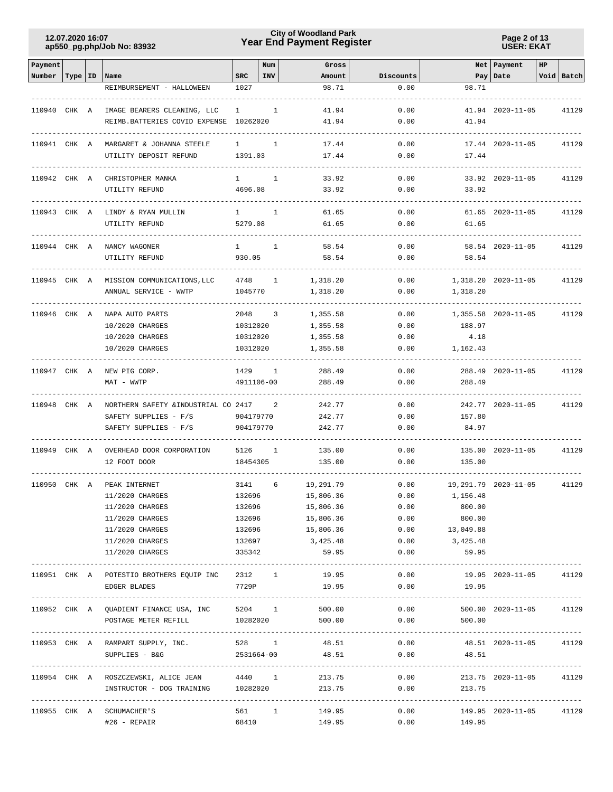## **Year End Payment Register City of Woodland Park 12.07.2020 16:07**

**Page 2 of 13 USER: EKAT**

| Payment      |           |                                                 |                        | Num          | Gross                |              |              | Net   Payment           | HP |            |
|--------------|-----------|-------------------------------------------------|------------------------|--------------|----------------------|--------------|--------------|-------------------------|----|------------|
| Number       | Type   ID | Name                                            | <b>SRC</b>             | INV          | Amount               | Discounts    |              | Pay Date                |    | Void Batch |
|              |           | REIMBURSEMENT - HALLOWEEN                       | 1027                   |              | 98.71                | 0.00         | 98.71        |                         |    |            |
| 110940 CHK A |           | IMAGE BEARERS CLEANING, LLC                     | $\mathbf{1}$           | 1            | 41.94                | 0.00         |              | 41.94 2020-11-05        |    | 41129      |
|              |           | REIMB.BATTERIES COVID EXPENSE 10262020          |                        |              | 41.94                | 0.00         | 41.94        |                         |    |            |
|              |           |                                                 |                        |              |                      |              |              |                         |    |            |
| 110941 CHK A |           | MARGARET & JOHANNA STEELE                       | $\mathbf{1}$           | $\mathbf{1}$ | 17.44                | 0.00         |              | 17.44 2020-11-05        |    | 41129      |
|              |           | UTILITY DEPOSIT REFUND                          | 1391.03                |              | 17.44                | 0.00         | 17.44        |                         |    |            |
| 110942 CHK A |           | CHRISTOPHER MANKA                               | $1 \quad \blacksquare$ | 1            | 33.92                | 0.00         |              | 33.92 2020-11-05        |    | 41129      |
|              |           | UTILITY REFUND                                  | 4696.08                |              | 33.92                | 0.00         | 33.92        |                         |    |            |
|              |           |                                                 |                        |              |                      |              |              |                         |    |            |
| 110943 CHK A |           | LINDY & RYAN MULLIN                             | $\mathbf{1}$           | 1            | 61.65                | 0.00         |              | 61.65 2020-11-05        |    | 41129      |
|              |           | UTILITY REFUND                                  | 5279.08                |              | 61.65                | 0.00         | 61.65        |                         |    |            |
| 110944 CHK A |           | NANCY WAGONER                                   | $\mathbf{1}$           | $\mathbf{1}$ | 58.54                | 0.00         |              | 58.54 2020-11-05        |    | 41129      |
|              |           | UTILITY REFUND                                  | 930.05                 |              | 58.54                | 0.00         | 58.54        |                         |    |            |
|              |           |                                                 |                        |              |                      |              |              |                         |    |            |
| 110945 CHK A |           | MISSION COMMUNICATIONS, LLC                     | 4748                   | $\mathbf{1}$ | 1,318.20             | 0.00         |              | 1,318.20 2020-11-05     |    | 41129      |
|              |           | ANNUAL SERVICE - WWTP                           | 1045770                |              | 1,318.20             | 0.00         | 1,318.20     |                         |    |            |
|              |           |                                                 |                        |              |                      |              |              |                         |    |            |
|              |           | 110946 CHK A NAPA AUTO PARTS<br>10/2020 CHARGES | 2048<br>10312020       | 3            | 1,355.58<br>1,355.58 | 0.00<br>0.00 | 188.97       | 1,355.58 2020-11-05     |    | 41129      |
|              |           | 10/2020 CHARGES                                 | 10312020               |              | 1,355.58             | 0.00         | 4.18         |                         |    |            |
|              |           | 10/2020 CHARGES                                 | 10312020               |              | 1,355.58             | 0.00         | 1,162.43     |                         |    |            |
|              |           |                                                 |                        |              |                      |              |              |                         |    |            |
| 110947 CHK A |           | NEW PIG CORP.                                   | 1429                   | $\mathbf{1}$ | 288.49               | 0.00         |              | 288.49 2020-11-05       |    | 41129      |
|              |           | MAT - WWTP                                      | 4911106-00             |              | 288.49               | 0.00         | 288.49       |                         |    |            |
| 110948 CHK A |           | NORTHERN SAFETY & INDUSTRIAL CO 2417            |                        | 2            | 242.77               | 0.00         |              | 242.77 2020-11-05       |    | 41129      |
|              |           | SAFETY SUPPLIES - F/S                           | 904179770              |              | 242.77               | 0.00         | 157.80       |                         |    |            |
|              |           | SAFETY SUPPLIES - F/S                           | 904179770              |              | 242.77               | 0.00         | 84.97        |                         |    |            |
|              |           |                                                 |                        |              |                      |              |              |                         |    |            |
| 110949 CHK A |           | OVERHEAD DOOR CORPORATION<br>12 FOOT DOOR       | 5126<br>18454305       | 1            | 135.00<br>135.00     | 0.00<br>0.00 | 135.00       | 135.00 2020-11-05       |    | 41129      |
|              |           |                                                 |                        |              |                      |              |              |                         |    |            |
| 110950 CHK A |           | PEAK INTERNET                                   | 3141                   | 6            | 19,291.79            | 0.00         |              | 19,291.79 2020-11-05    |    | 41129      |
|              |           | 11/2020 CHARGES                                 | 132696                 |              | 15,806.36            | 0.00         | 1,156.48     |                         |    |            |
|              |           | 11/2020 CHARGES                                 | 132696                 |              | 15,806.36            | 0.00         | 800.00       |                         |    |            |
|              |           | 11/2020 CHARGES                                 | 132696                 |              | 15,806.36            | 0.00         | 800.00       |                         |    |            |
|              |           | 11/2020 CHARGES                                 | 132696                 |              | 15,806.36            | 0.00         | 13,049.88    |                         |    |            |
|              |           | 11/2020 CHARGES                                 | 132697                 |              | 3,425.48             | 0.00         | 3,425.48     |                         |    |            |
|              |           | 11/2020 CHARGES                                 | 335342                 |              | 59.95                | 0.00         | 59.95        |                         |    |            |
|              |           | 110951 CHK A POTESTIO BROTHERS EQUIP INC        | 2312 1                 |              | 19.95                | 0.00         |              | 19.95 2020-11-05        |    | 41129      |
|              |           | EDGER BLADES                                    | 7729P                  |              | 19.95                |              | $0.00$ 19.95 |                         |    |            |
|              |           |                                                 |                        |              |                      |              |              |                         |    |            |
|              |           | 110952 CHK A QUADIENT FINANCE USA, INC 5204 1   |                        |              | 500.00               | 0.00         |              | 500.00 2020-11-05       |    | 41129      |
|              |           | POSTAGE METER REFILL                            |                        |              | 10282020<br>500.00   | 0.00         | 500.00       |                         |    |            |
|              |           | 110953 CHK A RAMPART SUPPLY, INC.               | 528 1                  |              | 48.51                | 0.00         |              | 48.51 2020-11-05 41129  |    |            |
|              |           | SUPPLIES - B&G                                  | 2531664-00             |              | 48.51                | 0.00         | 48.51        |                         |    |            |
|              |           |                                                 |                        |              |                      |              |              |                         |    |            |
|              |           | 110954 CHK A ROSZCZEWSKI, ALICE JEAN 4440 1     |                        |              | 213.75               |              | 0.00         | 213.75 2020-11-05 41129 |    |            |
|              |           | INSTRUCTOR - DOG TRAINING 10282020              |                        |              | 213.75               | 0.00         | 213.75       |                         |    |            |
|              |           |                                                 |                        |              |                      |              |              |                         |    |            |
|              |           | 110955 CHK A SCHUMACHER'S                       | 561 1                  |              | 149.95               |              | 0.00         | 149.95 2020-11-05       |    | 41129      |
|              |           | #26 - REPAIR                                    | 68410                  |              | 149.95               | 0.00         | 149.95       |                         |    |            |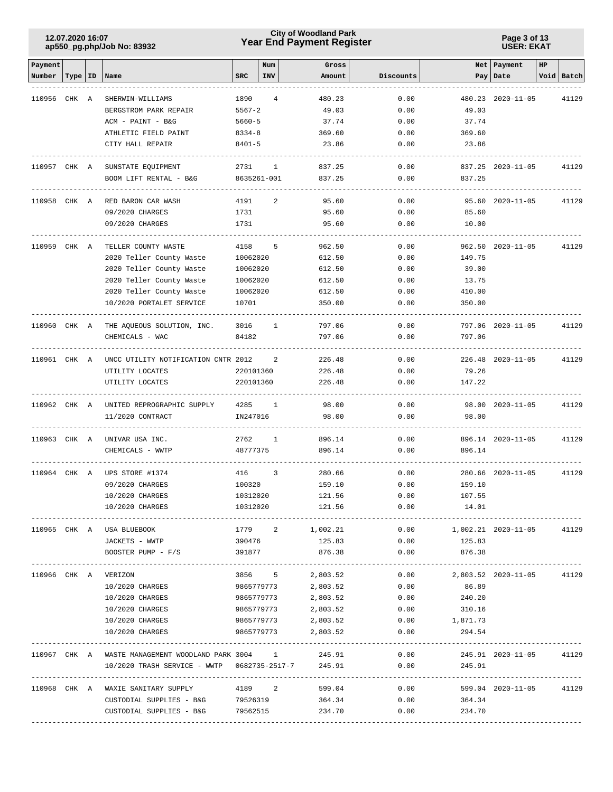## **Year End Payment Register City of Woodland Park 12.07.2020 16:07**

**Page 3 of 13 USER: EKAT**

| Payment      |           |                                                    |            | Num                     | Gross    |           |                | Net   Payment           | HP |            |
|--------------|-----------|----------------------------------------------------|------------|-------------------------|----------|-----------|----------------|-------------------------|----|------------|
| Number       | Type   ID | Name                                               | <b>SRC</b> | INV                     | Amount   | Discounts |                | Pay   Date              |    | Void Batch |
|              |           |                                                    |            |                         |          |           |                |                         |    |            |
| 110956 CHK A |           | SHERWIN-WILLIAMS                                   | 1890       | 4                       | 480.23   | 0.00      |                | 480.23 2020-11-05       |    | 41129      |
|              |           | BERGSTROM PARK REPAIR                              | $5567 - 2$ |                         | 49.03    | 0.00      | 49.03          |                         |    |            |
|              |           | ACM - PAINT - B&G                                  | $5660 - 5$ |                         | 37.74    | 0.00      | 37.74          |                         |    |            |
|              |           | ATHLETIC FIELD PAINT                               | $8334 - 8$ |                         | 369.60   | 0.00      | 369.60         |                         |    |            |
|              |           | CITY HALL REPAIR                                   | 8401-5     |                         | 23.86    | 0.00      | 23.86          |                         |    |            |
|              |           |                                                    |            |                         |          |           |                |                         |    |            |
| 110957 CHK A |           | SUNSTATE EQUIPMENT                                 | 2731       | $\mathbf{1}$            | 837.25   | 0.00      |                | 837.25 2020-11-05       |    | 41129      |
|              |           | BOOM LIFT RENTAL - B&G                             |            | 8635261-001             | 837.25   | 0.00      | 837.25         |                         |    |            |
|              |           |                                                    |            |                         |          |           |                |                         |    |            |
| 110958 CHK A |           | RED BARON CAR WASH                                 | 4191       | 2                       | 95.60    | 0.00      |                | 95.60 2020-11-05        |    | 41129      |
|              |           | 09/2020 CHARGES                                    | 1731       |                         | 95.60    | 0.00      | 85.60          |                         |    |            |
|              |           | 09/2020 CHARGES                                    | 1731       |                         | 95.60    | 0.00      | 10.00          |                         |    |            |
|              |           |                                                    |            |                         |          |           |                |                         |    |            |
| 110959 CHK A |           | TELLER COUNTY WASTE                                | 4158       | 5                       | 962.50   | 0.00      |                | 962.50 2020-11-05       |    | 41129      |
|              |           | 2020 Teller County Waste                           | 10062020   |                         | 612.50   | 0.00      | 149.75         |                         |    |            |
|              |           | 2020 Teller County Waste                           | 10062020   |                         | 612.50   | 0.00      | 39.00          |                         |    |            |
|              |           | 2020 Teller County Waste                           | 10062020   |                         | 612.50   | 0.00      | 13.75          |                         |    |            |
|              |           | 2020 Teller County Waste                           | 10062020   |                         | 612.50   | 0.00      | 410.00         |                         |    |            |
|              |           | 10/2020 PORTALET SERVICE                           | 10701      |                         | 350.00   | 0.00      | 350.00         |                         |    |            |
|              |           |                                                    |            |                         |          |           |                |                         |    |            |
|              |           | 110960 CHK A THE AQUEOUS SOLUTION, INC.            | 3016       | $\mathbf{1}$            | 797.06   | 0.00      |                | 797.06 2020-11-05       |    | 41129      |
|              |           | CHEMICALS - WAC                                    | 84182      |                         | 797.06   | 0.00      | 797.06         |                         |    |            |
|              |           |                                                    |            |                         |          |           |                |                         |    |            |
| 110961 CHK A |           | UNCC UTILITY NOTIFICATION CNTR 2012                |            | 2                       | 226.48   | 0.00      |                | 226.48 2020-11-05       |    | 41129      |
|              |           | UTILITY LOCATES                                    | 220101360  |                         | 226.48   | 0.00      | 79.26          |                         |    |            |
|              |           | UTILITY LOCATES                                    | 220101360  |                         | 226.48   | 0.00      | 147.22         |                         |    |            |
|              |           |                                                    |            |                         |          |           |                |                         |    |            |
| 110962 CHK A |           | UNITED REPROGRAPHIC SUPPLY                         | 4285       | $\mathbf{1}$            | 98.00    | 0.00      |                | 98.00 2020-11-05        |    | 41129      |
|              |           | 11/2020 CONTRACT                                   | IN247016   |                         | 98.00    | 0.00      | 98.00          |                         |    |            |
|              |           |                                                    |            |                         |          |           |                |                         |    |            |
| 110963 CHK A |           | UNIVAR USA INC.                                    | 2762 1     |                         | 896.14   | 0.00      |                | 896.14 2020-11-05       |    | 41129      |
|              |           | CHEMICALS - WWTP                                   | 48777375   |                         | 896.14   | 0.00      | 896.14         |                         |    |            |
|              |           |                                                    |            |                         |          |           |                |                         |    |            |
| 110964 CHK A |           | UPS STORE #1374                                    | 416        | $\overline{\mathbf{3}}$ | 280.66   | 0.00      |                | 280.66 2020-11-05       |    | 41129      |
|              |           | 09/2020 CHARGES                                    | 100320     |                         | 159.10   | 0.00      | 159.10         |                         |    |            |
|              |           | 10/2020 CHARGES                                    | 10312020   |                         | 121.56   | 0.00      | 107.55         |                         |    |            |
|              |           | 10/2020 CHARGES                                    | 10312020   |                         | 121.56   | 0.00      | 14.01          |                         |    |            |
|              |           |                                                    |            |                         |          |           |                |                         |    |            |
|              |           | 110965 CHK A USA BLUEBOOK                          |            | 1779 2                  | 1,002.21 | 0.00      |                | 1,002.21 2020-11-05     |    | 41129      |
|              |           | JACKETS - WWTP                                     | 390476     |                         | 125.83   | 0.00      | 125.83         |                         |    |            |
|              |           | BOOSTER PUMP - F/S                                 | 391877     |                         | 876.38   | 0.00      | 876.38         |                         |    |            |
|              |           |                                                    |            |                         |          |           |                |                         |    |            |
|              |           | 110966 CHK A VERIZON                               |            | 3856 5                  | 2,803.52 |           | 0.00           | 2,803.52 2020-11-05     |    | 41129      |
|              |           | 10/2020 CHARGES                                    |            | 9865779773              | 2,803.52 | 0.00      | 86.89          |                         |    |            |
|              |           | 10/2020 CHARGES                                    |            | 9865779773              | 2,803.52 | 0.00      | 240.20         |                         |    |            |
|              |           | 10/2020 CHARGES                                    |            | 9865779773              | 2,803.52 | 0.00      | 310.16         |                         |    |            |
|              |           | 10/2020 CHARGES                                    |            | 9865779773              | 2,803.52 | 0.00      | 1,871.73       |                         |    |            |
|              |           | 10/2020 CHARGES                                    |            | 9865779773              | 2,803.52 | 0.00      | 294.54         |                         |    |            |
|              |           |                                                    |            |                         |          |           |                |                         |    |            |
|              |           | 110967 CHK A WASTE MANAGEMENT WOODLAND PARK 3004 1 |            |                         | 245.91   | 0.00      |                | 245.91 2020-11-05 41129 |    |            |
|              |           | 10/2020 TRASH SERVICE - WWTP 0682735-2517-7 245.91 |            |                         |          | 0.00      | 245.91         |                         |    |            |
|              |           |                                                    |            |                         |          |           |                |                         |    |            |
|              |           | 110968 CHK A WAXIE SANITARY SUPPLY 4189 2 599.04   |            |                         |          |           | 0.00           | 599.04 2020-11-05       |    | 41129      |
|              |           | CUSTODIAL SUPPLIES - B&G $79526319$ 364.34         |            |                         |          |           | 0.00<br>364.34 |                         |    |            |
|              |           | CUSTODIAL SUPPLIES - B&G 79562515                  |            |                         | 234.70   | 0.00      | 234.70         |                         |    |            |
|              |           |                                                    |            |                         |          |           |                |                         |    |            |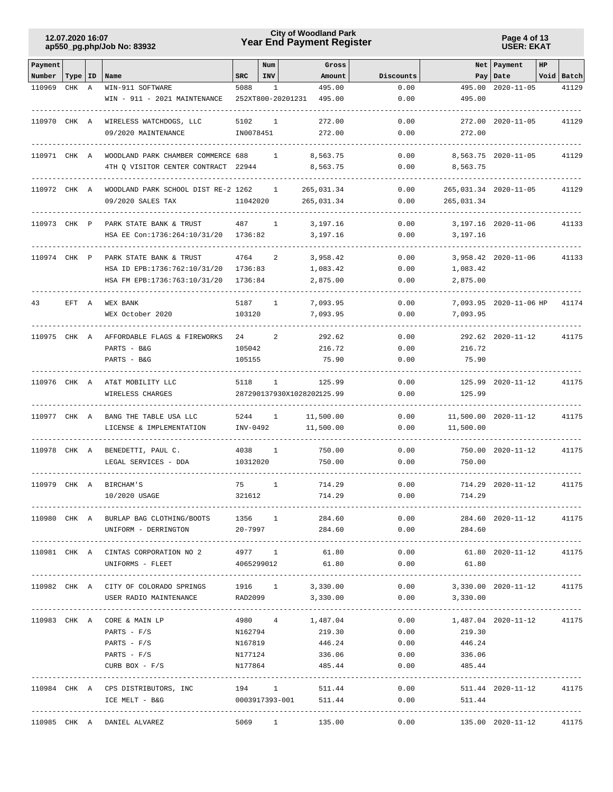## **Year End Payment Register City of Woodland Park 12.07.2020 16:07**

**Page 4 of 13 USER: EKAT**

| Payment      |           |   |                                                                                      |             | Num          | Gross                       |              |                                 | Net Payment               | HP |            |
|--------------|-----------|---|--------------------------------------------------------------------------------------|-------------|--------------|-----------------------------|--------------|---------------------------------|---------------------------|----|------------|
| Number       | Type   ID |   | Name                                                                                 | <b>SRC</b>  | <b>INV</b>   | Amount                      | Discounts    |                                 | Pay   Date                |    | Void Batch |
| 110969       | CHK       | A | WIN-911 SOFTWARE                                                                     | 5088        | 1            | 495.00                      | 0.00         | 495.00                          | $2020 - 11 - 05$          |    | 41129      |
|              |           |   | WIN - 911 - 2021 MAINTENANCE                                                         |             |              | 252XT800-20201231<br>495.00 | 0.00         | 495.00                          |                           |    |            |
| 110970 CHK A |           |   | WIRELESS WATCHDOGS, LLC                                                              | 5102        | 1            | 272.00                      | 0.00         |                                 | 272.00 2020-11-05         |    | 41129      |
|              |           |   | 09/2020 MAINTENANCE                                                                  | IN0078451   |              | 272.00                      | 0.00         | 272.00                          |                           |    |            |
|              |           |   |                                                                                      |             |              |                             |              |                                 |                           |    |            |
| 110971 CHK A |           |   | WOODLAND PARK CHAMBER COMMERCE 688                                                   |             | 1            | 8,563.75                    | 0.00         |                                 | 8,563.75 2020-11-05       |    | 41129      |
|              |           |   | 4TH Q VISITOR CENTER CONTRACT 22944                                                  |             |              | 8,563.75                    | 0.00         | 8,563.75                        |                           |    |            |
| 110972 CHK A |           |   | WOODLAND PARK SCHOOL DIST RE-2 1262                                                  |             | 1            | 265,031.34                  | 0.00         |                                 | 265,031.34 2020-11-05     |    | 41129      |
|              |           |   | 09/2020 SALES TAX                                                                    | 11042020    |              | 265,031.34                  | 0.00         | 265,031.34                      |                           |    |            |
| 110973 CHK P |           |   | PARK STATE BANK & TRUST                                                              | 487         | $\mathbf{1}$ | 3,197.16                    | 0.00         |                                 | 3, 197. 16 2020 - 11 - 06 |    | 41133      |
|              |           |   | HSA EE Con:1736:264:10/31/20                                                         | 1736:82     |              | 3,197.16                    | 0.00         | 3,197.16                        |                           |    |            |
| 110974 CHK P |           |   | PARK STATE BANK & TRUST                                                              | 4764        | 2            | 3,958.42                    | 0.00         |                                 | 3,958.42 2020-11-06       |    | 41133      |
|              |           |   | HSA ID EPB:1736:762:10/31/20                                                         | 1736:83     |              | 1,083.42                    | 0.00         | 1,083.42                        |                           |    |            |
|              |           |   | HSA FM EPB:1736:763:10/31/20                                                         | 1736:84     |              | 2,875.00                    | 0.00         | 2,875.00                        |                           |    |            |
| 43           | EFT A     |   | WEX BANK                                                                             | 5187        | $\mathbf{1}$ | 7,093.95                    | 0.00         |                                 | 7,093.95 2020-11-06 HP    |    | 41174      |
|              |           |   | WEX October 2020                                                                     | 103120      |              | 7,093.95                    | 0.00         | 7,093.95                        |                           |    |            |
| 110975 CHK A |           |   | AFFORDABLE FLAGS & FIREWORKS                                                         | 24          | 2            | 292.62                      | 0.00         |                                 | 292.62 2020-11-12         |    | 41175      |
|              |           |   | PARTS - B&G                                                                          | 105042      |              | 216.72                      | 0.00         | 216.72                          |                           |    |            |
|              |           |   | PARTS - B&G                                                                          | 105155      |              | 75.90                       | 0.00         | 75.90                           |                           |    |            |
| 110976 CHK A |           |   | AT&T MOBILITY LLC                                                                    | 5118        | $\mathbf{1}$ | 125.99                      | 0.00         |                                 | 125.99 2020-11-12         |    | 41175      |
|              |           |   | WIRELESS CHARGES                                                                     |             |              | 287290137930X1028202125.99  | 0.00         | 125.99                          |                           |    |            |
| 110977 CHK A |           |   |                                                                                      | 5244        | 1            | 11,500.00                   | 0.00         |                                 | 11,500.00 2020-11-12      |    |            |
|              |           |   | BANG THE TABLE USA LLC<br>LICENSE & IMPLEMENTATION                                   | INV-0492    |              | 11,500.00                   | 0.00         | 11,500.00                       |                           |    | 41175      |
|              |           |   |                                                                                      |             |              |                             |              |                                 |                           |    |            |
| 110978 CHK A |           |   | BENEDETTI, PAUL C.                                                                   | 4038        | 1            | 750.00                      | 0.00         |                                 | 750.00 2020-11-12         |    | 41175      |
|              |           |   | LEGAL SERVICES - DDA                                                                 | 10312020    |              | 750.00                      | 0.00         | 750.00                          |                           |    |            |
| 110979 CHK A |           |   | <b>BIRCHAM'S</b>                                                                     | 75          | 1            | 714.29                      | 0.00         |                                 | 714.29 2020-11-12         |    | 41175      |
|              |           |   | 10/2020 USAGE                                                                        | 321612      |              | 714.29                      | 0.00         | 714.29                          |                           |    |            |
|              |           |   | 110980 CHK A BURLAP BAG CLOTHING/BOOTS 1356 1 284.60                                 |             |              |                             | 0.00         |                                 | 284.60 2020-11-12 41175   |    |            |
|              |           |   | UNIFORM - DERRINGTON                                                                 | $20 - 7997$ |              | 284.60                      | 0.00         | 284.60                          |                           |    |            |
|              |           |   |                                                                                      |             |              |                             |              |                                 |                           |    |            |
|              |           |   | 110981 CHK A CINTAS CORPORATION NO 2 4977 1 61.80<br>UNIFORMS - FLEET                |             |              | 4065299012 61.80            | 0.00<br>0.00 | 61.80 2020-11-12 41175<br>61.80 |                           |    |            |
|              |           |   |                                                                                      |             |              |                             |              |                                 |                           |    |            |
|              |           |   | 110982 CHK A CITY OF COLORADO SPRINGS 1916 1 3,330.00 0.00 3,330.00 2020-11-12 41175 |             |              |                             |              |                                 |                           |    |            |
|              |           |   | USER RADIO MAINTENANCE RAD2099 3,330.00 0.00 3,330.00                                |             |              |                             |              |                                 |                           |    |            |
|              |           |   | 110983 CHK A CORE & MAIN LP                                                          |             |              | $4980$ $4$ $1,487.04$       | 0.00         | 1,487.04 2020-11-12 41175       |                           |    |            |
|              |           |   | PARTS - $F/S$                                                                        | N162794     |              | 219.30                      | 0.00         | 219.30                          |                           |    |            |
|              |           |   | PARTS - F/S                                                                          | N167819     |              | 446.24                      | 0.00         | 446.24                          |                           |    |            |
|              |           |   | PARTS - $F/S$                                                                        | N177124     |              | 336.06                      | 0.00         | 336.06                          |                           |    |            |
|              |           |   | CURB BOX $- F/S$                                                                     | N177864     |              | 485.44                      | 0.00         | 485.44                          |                           |    |            |
|              |           |   | $110984$ CHK A CPS DISTRIBUTORS, INC $194$ 1 $511.44$                                |             |              |                             |              | 0.00                            | 511.44 2020-11-12 41175   |    |            |
|              |           |   | ICE MELT - B&G                                                                       |             |              | 0003917393-001 511.44       |              | $0.00$ 511.44                   |                           |    |            |
|              |           |   | 110985 CHK A DANIEL ALVAREZ                                                          |             |              | 5069 1 135.00               | 0.00         | 135.00 2020-11-12 41175         |                           |    |            |
|              |           |   |                                                                                      |             |              |                             |              |                                 |                           |    |            |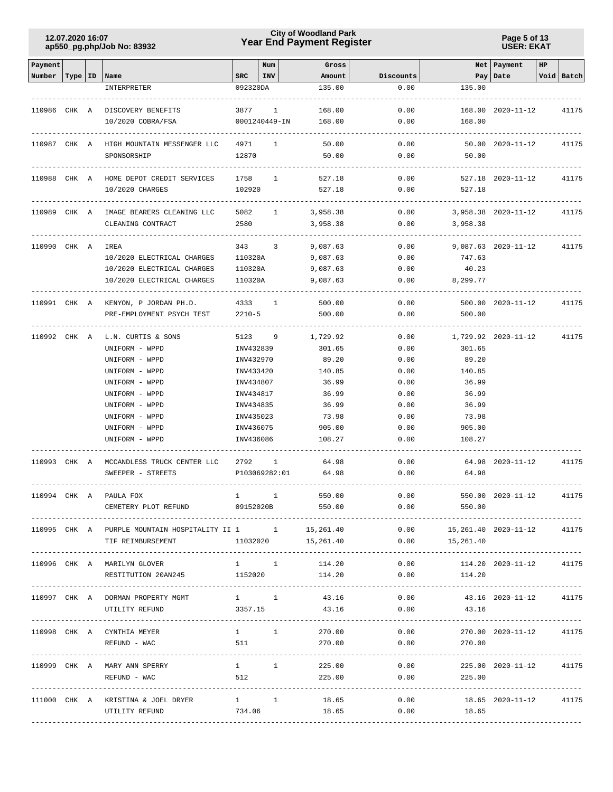## **Year End Payment Register City of Woodland Park 12.07.2020 16:07**

**Page 5 of 13 USER: EKAT**

| SRC<br>INV  <br>Void Batch<br>Number  <br>Type   ID   Name<br>Amount<br>Discounts<br>Pay Date<br>092320DA<br>135.00<br>0.00<br>135.00<br>INTERPRETER<br>110986 CHK A DISCOVERY BENEFITS<br>168.00<br>0.00<br>168.00 2020-11-12<br>3877<br>1<br>41175<br>10/2020 COBRA/FSA<br>0001240449-IN<br>168.00<br>0.00<br>168.00<br>110987 CHK A HIGH MOUNTAIN MESSENGER LLC<br>4971<br>$\mathbf{1}$<br>50.00<br>0.00<br>50.00 2020-11-12<br>41175<br>12870<br>50.00<br>0.00<br>50.00<br>SPONSORSHIP<br>HOME DEPOT CREDIT SERVICES<br>1758<br>1<br>527.18<br>0.00<br>527.18 2020-11-12<br>41175<br>110988 CHK A<br>10/2020 CHARGES<br>102920<br>527.18<br>0.00<br>527.18<br>5082 1<br>3,958.38<br>0.00<br>3,958.38 2020-11-12<br>110989 CHK A<br>IMAGE BEARERS CLEANING LLC<br>41175<br>2580<br>CLEANING CONTRACT<br>3,958.38<br>0.00<br>3,958.38<br>IREA<br>343 3<br>9,087.63<br>0.00<br>9,087.63 2020-11-12<br>110990 CHK A<br>41175<br>10/2020 ELECTRICAL CHARGES<br>110320A<br>9,087.63<br>0.00<br>747.63<br>10/2020 ELECTRICAL CHARGES<br>110320A<br>9,087.63<br>0.00<br>40.23<br>10/2020 ELECTRICAL CHARGES<br>9,087.63<br>0.00<br>8,299.77<br>110320A<br>4333<br>500.00<br>0.00<br>500.00 2020-11-12<br>110991 CHK A KENYON, P JORDAN PH.D.<br>1<br>41175<br>$2210 - 5$<br>0.00<br>PRE-EMPLOYMENT PSYCH TEST<br>500.00<br>500.00<br>5123 9<br>1,729.92<br>0.00<br>1,729.92 2020-11-12<br>110992 CHK A<br>L.N. CURTIS & SONS<br>41175<br>0.00<br>UNIFORM - WPPD<br>INV432839<br>301.65<br>301.65<br>UNIFORM - WPPD<br>INV432970<br>89.20<br>0.00<br>89.20<br>UNIFORM - WPPD<br>INV433420<br>140.85<br>0.00<br>140.85<br>UNIFORM - WPPD<br>INV434807<br>36.99<br>0.00<br>36.99<br>UNIFORM - WPPD<br>36.99<br>0.00<br>36.99<br>INV434817<br>UNIFORM - WPPD<br>INV434835<br>36.99<br>0.00<br>36.99<br>73.98<br>0.00<br>UNIFORM - WPPD<br>INV435023<br>73.98<br>UNIFORM - WPPD<br>905.00<br>0.00<br>905.00<br>INV436075<br>0.00<br>UNIFORM - WPPD<br>INV436086<br>108.27<br>108.27<br>MCCANDLESS TRUCK CENTER LLC<br>2792<br>$\mathbf{1}$<br>64.98<br>0.00<br>64.98 2020-11-12<br>41175<br>110993 CHK A<br>64.98<br>P103069282:01<br>0.00<br>64.98<br>SWEEPER - STREETS<br>0.00<br>550.00 2020-11-12<br>110994 CHK A PAULA FOX<br>$\mathbf{1}$<br>$\mathbf{1}$<br>550.00<br>41175<br>CEMETERY PLOT REFUND<br>09152020B<br>550.00<br>0.00<br>550.00<br>110995 CHK A PURPLE MOUNTAIN HOSPITALITY II 1 1 1<br>15,261.40<br>$0.00$ 15, 261.40 2020-11-12<br>41175<br>0.00<br>TIF REIMBURSEMENT<br>11032020<br>15,261.40<br>15,261.40<br>$1 \qquad \qquad 1 \qquad \qquad$<br>0.00<br>110996 CHK A MARILYN GLOVER<br>114.20<br>114.20 2020-11-12<br>41175<br>RESTITUTION 20AN245 1152020<br>0.00<br>114.20<br>114.20<br>110997 CHK A DORMAN PROPERTY MGMT 1 1 1<br>$0.00$ $43.16$ $2020-11-12$<br>43.16<br>41175<br>43.16<br>0.00<br>UTILITY REFUND<br>3357.15<br>43.16<br>$1 \quad 1$<br>0.00<br>110998 CHK A CYNTHIA MEYER<br>270.00<br>270.00 2020-11-12 41175<br>511<br>0.00<br>REFUND - WAC<br>270.00<br>270.00<br>$1 \quad 1 \quad 1$<br>110999 CHK A MARY ANN SPERRY<br>225.00<br>0.00<br>225.00 2020-11-12 41175<br>512<br>REFUND - WAC<br>225.00<br>0.00<br>225.00<br>111000 CHK A KRISTINA & JOEL DRYER 1 1<br>18.65<br>0.00<br>$18.65$ 2020-11-12<br>41175<br>734.06<br>18.65<br>0.00<br>UTILITY REFUND<br>18.65 | Payment |  |  | Num | Gross |  | Net Payment | HP |  |
|----------------------------------------------------------------------------------------------------------------------------------------------------------------------------------------------------------------------------------------------------------------------------------------------------------------------------------------------------------------------------------------------------------------------------------------------------------------------------------------------------------------------------------------------------------------------------------------------------------------------------------------------------------------------------------------------------------------------------------------------------------------------------------------------------------------------------------------------------------------------------------------------------------------------------------------------------------------------------------------------------------------------------------------------------------------------------------------------------------------------------------------------------------------------------------------------------------------------------------------------------------------------------------------------------------------------------------------------------------------------------------------------------------------------------------------------------------------------------------------------------------------------------------------------------------------------------------------------------------------------------------------------------------------------------------------------------------------------------------------------------------------------------------------------------------------------------------------------------------------------------------------------------------------------------------------------------------------------------------------------------------------------------------------------------------------------------------------------------------------------------------------------------------------------------------------------------------------------------------------------------------------------------------------------------------------------------------------------------------------------------------------------------------------------------------------------------------------------------------------------------------------------------------------------------------------------------------------------------------------------------------------------------------------------------------------------------------------------------------------------------------------------------------------------------------------------------------------------------------------------------------------------------------------------------------------------------------------------------------------------------------------------------------------------------------------------------------------------------------------------------------------------------------------------------------------------------------------------------------------------------------------------------------------------------------------|---------|--|--|-----|-------|--|-------------|----|--|
|                                                                                                                                                                                                                                                                                                                                                                                                                                                                                                                                                                                                                                                                                                                                                                                                                                                                                                                                                                                                                                                                                                                                                                                                                                                                                                                                                                                                                                                                                                                                                                                                                                                                                                                                                                                                                                                                                                                                                                                                                                                                                                                                                                                                                                                                                                                                                                                                                                                                                                                                                                                                                                                                                                                                                                                                                                                                                                                                                                                                                                                                                                                                                                                                                                                                                                                |         |  |  |     |       |  |             |    |  |
|                                                                                                                                                                                                                                                                                                                                                                                                                                                                                                                                                                                                                                                                                                                                                                                                                                                                                                                                                                                                                                                                                                                                                                                                                                                                                                                                                                                                                                                                                                                                                                                                                                                                                                                                                                                                                                                                                                                                                                                                                                                                                                                                                                                                                                                                                                                                                                                                                                                                                                                                                                                                                                                                                                                                                                                                                                                                                                                                                                                                                                                                                                                                                                                                                                                                                                                |         |  |  |     |       |  |             |    |  |
|                                                                                                                                                                                                                                                                                                                                                                                                                                                                                                                                                                                                                                                                                                                                                                                                                                                                                                                                                                                                                                                                                                                                                                                                                                                                                                                                                                                                                                                                                                                                                                                                                                                                                                                                                                                                                                                                                                                                                                                                                                                                                                                                                                                                                                                                                                                                                                                                                                                                                                                                                                                                                                                                                                                                                                                                                                                                                                                                                                                                                                                                                                                                                                                                                                                                                                                |         |  |  |     |       |  |             |    |  |
|                                                                                                                                                                                                                                                                                                                                                                                                                                                                                                                                                                                                                                                                                                                                                                                                                                                                                                                                                                                                                                                                                                                                                                                                                                                                                                                                                                                                                                                                                                                                                                                                                                                                                                                                                                                                                                                                                                                                                                                                                                                                                                                                                                                                                                                                                                                                                                                                                                                                                                                                                                                                                                                                                                                                                                                                                                                                                                                                                                                                                                                                                                                                                                                                                                                                                                                |         |  |  |     |       |  |             |    |  |
|                                                                                                                                                                                                                                                                                                                                                                                                                                                                                                                                                                                                                                                                                                                                                                                                                                                                                                                                                                                                                                                                                                                                                                                                                                                                                                                                                                                                                                                                                                                                                                                                                                                                                                                                                                                                                                                                                                                                                                                                                                                                                                                                                                                                                                                                                                                                                                                                                                                                                                                                                                                                                                                                                                                                                                                                                                                                                                                                                                                                                                                                                                                                                                                                                                                                                                                |         |  |  |     |       |  |             |    |  |
|                                                                                                                                                                                                                                                                                                                                                                                                                                                                                                                                                                                                                                                                                                                                                                                                                                                                                                                                                                                                                                                                                                                                                                                                                                                                                                                                                                                                                                                                                                                                                                                                                                                                                                                                                                                                                                                                                                                                                                                                                                                                                                                                                                                                                                                                                                                                                                                                                                                                                                                                                                                                                                                                                                                                                                                                                                                                                                                                                                                                                                                                                                                                                                                                                                                                                                                |         |  |  |     |       |  |             |    |  |
|                                                                                                                                                                                                                                                                                                                                                                                                                                                                                                                                                                                                                                                                                                                                                                                                                                                                                                                                                                                                                                                                                                                                                                                                                                                                                                                                                                                                                                                                                                                                                                                                                                                                                                                                                                                                                                                                                                                                                                                                                                                                                                                                                                                                                                                                                                                                                                                                                                                                                                                                                                                                                                                                                                                                                                                                                                                                                                                                                                                                                                                                                                                                                                                                                                                                                                                |         |  |  |     |       |  |             |    |  |
|                                                                                                                                                                                                                                                                                                                                                                                                                                                                                                                                                                                                                                                                                                                                                                                                                                                                                                                                                                                                                                                                                                                                                                                                                                                                                                                                                                                                                                                                                                                                                                                                                                                                                                                                                                                                                                                                                                                                                                                                                                                                                                                                                                                                                                                                                                                                                                                                                                                                                                                                                                                                                                                                                                                                                                                                                                                                                                                                                                                                                                                                                                                                                                                                                                                                                                                |         |  |  |     |       |  |             |    |  |
|                                                                                                                                                                                                                                                                                                                                                                                                                                                                                                                                                                                                                                                                                                                                                                                                                                                                                                                                                                                                                                                                                                                                                                                                                                                                                                                                                                                                                                                                                                                                                                                                                                                                                                                                                                                                                                                                                                                                                                                                                                                                                                                                                                                                                                                                                                                                                                                                                                                                                                                                                                                                                                                                                                                                                                                                                                                                                                                                                                                                                                                                                                                                                                                                                                                                                                                |         |  |  |     |       |  |             |    |  |
|                                                                                                                                                                                                                                                                                                                                                                                                                                                                                                                                                                                                                                                                                                                                                                                                                                                                                                                                                                                                                                                                                                                                                                                                                                                                                                                                                                                                                                                                                                                                                                                                                                                                                                                                                                                                                                                                                                                                                                                                                                                                                                                                                                                                                                                                                                                                                                                                                                                                                                                                                                                                                                                                                                                                                                                                                                                                                                                                                                                                                                                                                                                                                                                                                                                                                                                |         |  |  |     |       |  |             |    |  |
|                                                                                                                                                                                                                                                                                                                                                                                                                                                                                                                                                                                                                                                                                                                                                                                                                                                                                                                                                                                                                                                                                                                                                                                                                                                                                                                                                                                                                                                                                                                                                                                                                                                                                                                                                                                                                                                                                                                                                                                                                                                                                                                                                                                                                                                                                                                                                                                                                                                                                                                                                                                                                                                                                                                                                                                                                                                                                                                                                                                                                                                                                                                                                                                                                                                                                                                |         |  |  |     |       |  |             |    |  |
|                                                                                                                                                                                                                                                                                                                                                                                                                                                                                                                                                                                                                                                                                                                                                                                                                                                                                                                                                                                                                                                                                                                                                                                                                                                                                                                                                                                                                                                                                                                                                                                                                                                                                                                                                                                                                                                                                                                                                                                                                                                                                                                                                                                                                                                                                                                                                                                                                                                                                                                                                                                                                                                                                                                                                                                                                                                                                                                                                                                                                                                                                                                                                                                                                                                                                                                |         |  |  |     |       |  |             |    |  |
|                                                                                                                                                                                                                                                                                                                                                                                                                                                                                                                                                                                                                                                                                                                                                                                                                                                                                                                                                                                                                                                                                                                                                                                                                                                                                                                                                                                                                                                                                                                                                                                                                                                                                                                                                                                                                                                                                                                                                                                                                                                                                                                                                                                                                                                                                                                                                                                                                                                                                                                                                                                                                                                                                                                                                                                                                                                                                                                                                                                                                                                                                                                                                                                                                                                                                                                |         |  |  |     |       |  |             |    |  |
|                                                                                                                                                                                                                                                                                                                                                                                                                                                                                                                                                                                                                                                                                                                                                                                                                                                                                                                                                                                                                                                                                                                                                                                                                                                                                                                                                                                                                                                                                                                                                                                                                                                                                                                                                                                                                                                                                                                                                                                                                                                                                                                                                                                                                                                                                                                                                                                                                                                                                                                                                                                                                                                                                                                                                                                                                                                                                                                                                                                                                                                                                                                                                                                                                                                                                                                |         |  |  |     |       |  |             |    |  |
|                                                                                                                                                                                                                                                                                                                                                                                                                                                                                                                                                                                                                                                                                                                                                                                                                                                                                                                                                                                                                                                                                                                                                                                                                                                                                                                                                                                                                                                                                                                                                                                                                                                                                                                                                                                                                                                                                                                                                                                                                                                                                                                                                                                                                                                                                                                                                                                                                                                                                                                                                                                                                                                                                                                                                                                                                                                                                                                                                                                                                                                                                                                                                                                                                                                                                                                |         |  |  |     |       |  |             |    |  |
|                                                                                                                                                                                                                                                                                                                                                                                                                                                                                                                                                                                                                                                                                                                                                                                                                                                                                                                                                                                                                                                                                                                                                                                                                                                                                                                                                                                                                                                                                                                                                                                                                                                                                                                                                                                                                                                                                                                                                                                                                                                                                                                                                                                                                                                                                                                                                                                                                                                                                                                                                                                                                                                                                                                                                                                                                                                                                                                                                                                                                                                                                                                                                                                                                                                                                                                |         |  |  |     |       |  |             |    |  |
|                                                                                                                                                                                                                                                                                                                                                                                                                                                                                                                                                                                                                                                                                                                                                                                                                                                                                                                                                                                                                                                                                                                                                                                                                                                                                                                                                                                                                                                                                                                                                                                                                                                                                                                                                                                                                                                                                                                                                                                                                                                                                                                                                                                                                                                                                                                                                                                                                                                                                                                                                                                                                                                                                                                                                                                                                                                                                                                                                                                                                                                                                                                                                                                                                                                                                                                |         |  |  |     |       |  |             |    |  |
|                                                                                                                                                                                                                                                                                                                                                                                                                                                                                                                                                                                                                                                                                                                                                                                                                                                                                                                                                                                                                                                                                                                                                                                                                                                                                                                                                                                                                                                                                                                                                                                                                                                                                                                                                                                                                                                                                                                                                                                                                                                                                                                                                                                                                                                                                                                                                                                                                                                                                                                                                                                                                                                                                                                                                                                                                                                                                                                                                                                                                                                                                                                                                                                                                                                                                                                |         |  |  |     |       |  |             |    |  |
|                                                                                                                                                                                                                                                                                                                                                                                                                                                                                                                                                                                                                                                                                                                                                                                                                                                                                                                                                                                                                                                                                                                                                                                                                                                                                                                                                                                                                                                                                                                                                                                                                                                                                                                                                                                                                                                                                                                                                                                                                                                                                                                                                                                                                                                                                                                                                                                                                                                                                                                                                                                                                                                                                                                                                                                                                                                                                                                                                                                                                                                                                                                                                                                                                                                                                                                |         |  |  |     |       |  |             |    |  |
|                                                                                                                                                                                                                                                                                                                                                                                                                                                                                                                                                                                                                                                                                                                                                                                                                                                                                                                                                                                                                                                                                                                                                                                                                                                                                                                                                                                                                                                                                                                                                                                                                                                                                                                                                                                                                                                                                                                                                                                                                                                                                                                                                                                                                                                                                                                                                                                                                                                                                                                                                                                                                                                                                                                                                                                                                                                                                                                                                                                                                                                                                                                                                                                                                                                                                                                |         |  |  |     |       |  |             |    |  |
|                                                                                                                                                                                                                                                                                                                                                                                                                                                                                                                                                                                                                                                                                                                                                                                                                                                                                                                                                                                                                                                                                                                                                                                                                                                                                                                                                                                                                                                                                                                                                                                                                                                                                                                                                                                                                                                                                                                                                                                                                                                                                                                                                                                                                                                                                                                                                                                                                                                                                                                                                                                                                                                                                                                                                                                                                                                                                                                                                                                                                                                                                                                                                                                                                                                                                                                |         |  |  |     |       |  |             |    |  |
|                                                                                                                                                                                                                                                                                                                                                                                                                                                                                                                                                                                                                                                                                                                                                                                                                                                                                                                                                                                                                                                                                                                                                                                                                                                                                                                                                                                                                                                                                                                                                                                                                                                                                                                                                                                                                                                                                                                                                                                                                                                                                                                                                                                                                                                                                                                                                                                                                                                                                                                                                                                                                                                                                                                                                                                                                                                                                                                                                                                                                                                                                                                                                                                                                                                                                                                |         |  |  |     |       |  |             |    |  |
|                                                                                                                                                                                                                                                                                                                                                                                                                                                                                                                                                                                                                                                                                                                                                                                                                                                                                                                                                                                                                                                                                                                                                                                                                                                                                                                                                                                                                                                                                                                                                                                                                                                                                                                                                                                                                                                                                                                                                                                                                                                                                                                                                                                                                                                                                                                                                                                                                                                                                                                                                                                                                                                                                                                                                                                                                                                                                                                                                                                                                                                                                                                                                                                                                                                                                                                |         |  |  |     |       |  |             |    |  |
|                                                                                                                                                                                                                                                                                                                                                                                                                                                                                                                                                                                                                                                                                                                                                                                                                                                                                                                                                                                                                                                                                                                                                                                                                                                                                                                                                                                                                                                                                                                                                                                                                                                                                                                                                                                                                                                                                                                                                                                                                                                                                                                                                                                                                                                                                                                                                                                                                                                                                                                                                                                                                                                                                                                                                                                                                                                                                                                                                                                                                                                                                                                                                                                                                                                                                                                |         |  |  |     |       |  |             |    |  |
|                                                                                                                                                                                                                                                                                                                                                                                                                                                                                                                                                                                                                                                                                                                                                                                                                                                                                                                                                                                                                                                                                                                                                                                                                                                                                                                                                                                                                                                                                                                                                                                                                                                                                                                                                                                                                                                                                                                                                                                                                                                                                                                                                                                                                                                                                                                                                                                                                                                                                                                                                                                                                                                                                                                                                                                                                                                                                                                                                                                                                                                                                                                                                                                                                                                                                                                |         |  |  |     |       |  |             |    |  |
|                                                                                                                                                                                                                                                                                                                                                                                                                                                                                                                                                                                                                                                                                                                                                                                                                                                                                                                                                                                                                                                                                                                                                                                                                                                                                                                                                                                                                                                                                                                                                                                                                                                                                                                                                                                                                                                                                                                                                                                                                                                                                                                                                                                                                                                                                                                                                                                                                                                                                                                                                                                                                                                                                                                                                                                                                                                                                                                                                                                                                                                                                                                                                                                                                                                                                                                |         |  |  |     |       |  |             |    |  |
|                                                                                                                                                                                                                                                                                                                                                                                                                                                                                                                                                                                                                                                                                                                                                                                                                                                                                                                                                                                                                                                                                                                                                                                                                                                                                                                                                                                                                                                                                                                                                                                                                                                                                                                                                                                                                                                                                                                                                                                                                                                                                                                                                                                                                                                                                                                                                                                                                                                                                                                                                                                                                                                                                                                                                                                                                                                                                                                                                                                                                                                                                                                                                                                                                                                                                                                |         |  |  |     |       |  |             |    |  |
|                                                                                                                                                                                                                                                                                                                                                                                                                                                                                                                                                                                                                                                                                                                                                                                                                                                                                                                                                                                                                                                                                                                                                                                                                                                                                                                                                                                                                                                                                                                                                                                                                                                                                                                                                                                                                                                                                                                                                                                                                                                                                                                                                                                                                                                                                                                                                                                                                                                                                                                                                                                                                                                                                                                                                                                                                                                                                                                                                                                                                                                                                                                                                                                                                                                                                                                |         |  |  |     |       |  |             |    |  |
|                                                                                                                                                                                                                                                                                                                                                                                                                                                                                                                                                                                                                                                                                                                                                                                                                                                                                                                                                                                                                                                                                                                                                                                                                                                                                                                                                                                                                                                                                                                                                                                                                                                                                                                                                                                                                                                                                                                                                                                                                                                                                                                                                                                                                                                                                                                                                                                                                                                                                                                                                                                                                                                                                                                                                                                                                                                                                                                                                                                                                                                                                                                                                                                                                                                                                                                |         |  |  |     |       |  |             |    |  |
|                                                                                                                                                                                                                                                                                                                                                                                                                                                                                                                                                                                                                                                                                                                                                                                                                                                                                                                                                                                                                                                                                                                                                                                                                                                                                                                                                                                                                                                                                                                                                                                                                                                                                                                                                                                                                                                                                                                                                                                                                                                                                                                                                                                                                                                                                                                                                                                                                                                                                                                                                                                                                                                                                                                                                                                                                                                                                                                                                                                                                                                                                                                                                                                                                                                                                                                |         |  |  |     |       |  |             |    |  |
|                                                                                                                                                                                                                                                                                                                                                                                                                                                                                                                                                                                                                                                                                                                                                                                                                                                                                                                                                                                                                                                                                                                                                                                                                                                                                                                                                                                                                                                                                                                                                                                                                                                                                                                                                                                                                                                                                                                                                                                                                                                                                                                                                                                                                                                                                                                                                                                                                                                                                                                                                                                                                                                                                                                                                                                                                                                                                                                                                                                                                                                                                                                                                                                                                                                                                                                |         |  |  |     |       |  |             |    |  |
|                                                                                                                                                                                                                                                                                                                                                                                                                                                                                                                                                                                                                                                                                                                                                                                                                                                                                                                                                                                                                                                                                                                                                                                                                                                                                                                                                                                                                                                                                                                                                                                                                                                                                                                                                                                                                                                                                                                                                                                                                                                                                                                                                                                                                                                                                                                                                                                                                                                                                                                                                                                                                                                                                                                                                                                                                                                                                                                                                                                                                                                                                                                                                                                                                                                                                                                |         |  |  |     |       |  |             |    |  |
|                                                                                                                                                                                                                                                                                                                                                                                                                                                                                                                                                                                                                                                                                                                                                                                                                                                                                                                                                                                                                                                                                                                                                                                                                                                                                                                                                                                                                                                                                                                                                                                                                                                                                                                                                                                                                                                                                                                                                                                                                                                                                                                                                                                                                                                                                                                                                                                                                                                                                                                                                                                                                                                                                                                                                                                                                                                                                                                                                                                                                                                                                                                                                                                                                                                                                                                |         |  |  |     |       |  |             |    |  |
|                                                                                                                                                                                                                                                                                                                                                                                                                                                                                                                                                                                                                                                                                                                                                                                                                                                                                                                                                                                                                                                                                                                                                                                                                                                                                                                                                                                                                                                                                                                                                                                                                                                                                                                                                                                                                                                                                                                                                                                                                                                                                                                                                                                                                                                                                                                                                                                                                                                                                                                                                                                                                                                                                                                                                                                                                                                                                                                                                                                                                                                                                                                                                                                                                                                                                                                |         |  |  |     |       |  |             |    |  |
|                                                                                                                                                                                                                                                                                                                                                                                                                                                                                                                                                                                                                                                                                                                                                                                                                                                                                                                                                                                                                                                                                                                                                                                                                                                                                                                                                                                                                                                                                                                                                                                                                                                                                                                                                                                                                                                                                                                                                                                                                                                                                                                                                                                                                                                                                                                                                                                                                                                                                                                                                                                                                                                                                                                                                                                                                                                                                                                                                                                                                                                                                                                                                                                                                                                                                                                |         |  |  |     |       |  |             |    |  |
|                                                                                                                                                                                                                                                                                                                                                                                                                                                                                                                                                                                                                                                                                                                                                                                                                                                                                                                                                                                                                                                                                                                                                                                                                                                                                                                                                                                                                                                                                                                                                                                                                                                                                                                                                                                                                                                                                                                                                                                                                                                                                                                                                                                                                                                                                                                                                                                                                                                                                                                                                                                                                                                                                                                                                                                                                                                                                                                                                                                                                                                                                                                                                                                                                                                                                                                |         |  |  |     |       |  |             |    |  |
|                                                                                                                                                                                                                                                                                                                                                                                                                                                                                                                                                                                                                                                                                                                                                                                                                                                                                                                                                                                                                                                                                                                                                                                                                                                                                                                                                                                                                                                                                                                                                                                                                                                                                                                                                                                                                                                                                                                                                                                                                                                                                                                                                                                                                                                                                                                                                                                                                                                                                                                                                                                                                                                                                                                                                                                                                                                                                                                                                                                                                                                                                                                                                                                                                                                                                                                |         |  |  |     |       |  |             |    |  |
|                                                                                                                                                                                                                                                                                                                                                                                                                                                                                                                                                                                                                                                                                                                                                                                                                                                                                                                                                                                                                                                                                                                                                                                                                                                                                                                                                                                                                                                                                                                                                                                                                                                                                                                                                                                                                                                                                                                                                                                                                                                                                                                                                                                                                                                                                                                                                                                                                                                                                                                                                                                                                                                                                                                                                                                                                                                                                                                                                                                                                                                                                                                                                                                                                                                                                                                |         |  |  |     |       |  |             |    |  |
|                                                                                                                                                                                                                                                                                                                                                                                                                                                                                                                                                                                                                                                                                                                                                                                                                                                                                                                                                                                                                                                                                                                                                                                                                                                                                                                                                                                                                                                                                                                                                                                                                                                                                                                                                                                                                                                                                                                                                                                                                                                                                                                                                                                                                                                                                                                                                                                                                                                                                                                                                                                                                                                                                                                                                                                                                                                                                                                                                                                                                                                                                                                                                                                                                                                                                                                |         |  |  |     |       |  |             |    |  |
|                                                                                                                                                                                                                                                                                                                                                                                                                                                                                                                                                                                                                                                                                                                                                                                                                                                                                                                                                                                                                                                                                                                                                                                                                                                                                                                                                                                                                                                                                                                                                                                                                                                                                                                                                                                                                                                                                                                                                                                                                                                                                                                                                                                                                                                                                                                                                                                                                                                                                                                                                                                                                                                                                                                                                                                                                                                                                                                                                                                                                                                                                                                                                                                                                                                                                                                |         |  |  |     |       |  |             |    |  |
|                                                                                                                                                                                                                                                                                                                                                                                                                                                                                                                                                                                                                                                                                                                                                                                                                                                                                                                                                                                                                                                                                                                                                                                                                                                                                                                                                                                                                                                                                                                                                                                                                                                                                                                                                                                                                                                                                                                                                                                                                                                                                                                                                                                                                                                                                                                                                                                                                                                                                                                                                                                                                                                                                                                                                                                                                                                                                                                                                                                                                                                                                                                                                                                                                                                                                                                |         |  |  |     |       |  |             |    |  |
|                                                                                                                                                                                                                                                                                                                                                                                                                                                                                                                                                                                                                                                                                                                                                                                                                                                                                                                                                                                                                                                                                                                                                                                                                                                                                                                                                                                                                                                                                                                                                                                                                                                                                                                                                                                                                                                                                                                                                                                                                                                                                                                                                                                                                                                                                                                                                                                                                                                                                                                                                                                                                                                                                                                                                                                                                                                                                                                                                                                                                                                                                                                                                                                                                                                                                                                |         |  |  |     |       |  |             |    |  |
|                                                                                                                                                                                                                                                                                                                                                                                                                                                                                                                                                                                                                                                                                                                                                                                                                                                                                                                                                                                                                                                                                                                                                                                                                                                                                                                                                                                                                                                                                                                                                                                                                                                                                                                                                                                                                                                                                                                                                                                                                                                                                                                                                                                                                                                                                                                                                                                                                                                                                                                                                                                                                                                                                                                                                                                                                                                                                                                                                                                                                                                                                                                                                                                                                                                                                                                |         |  |  |     |       |  |             |    |  |
|                                                                                                                                                                                                                                                                                                                                                                                                                                                                                                                                                                                                                                                                                                                                                                                                                                                                                                                                                                                                                                                                                                                                                                                                                                                                                                                                                                                                                                                                                                                                                                                                                                                                                                                                                                                                                                                                                                                                                                                                                                                                                                                                                                                                                                                                                                                                                                                                                                                                                                                                                                                                                                                                                                                                                                                                                                                                                                                                                                                                                                                                                                                                                                                                                                                                                                                |         |  |  |     |       |  |             |    |  |
|                                                                                                                                                                                                                                                                                                                                                                                                                                                                                                                                                                                                                                                                                                                                                                                                                                                                                                                                                                                                                                                                                                                                                                                                                                                                                                                                                                                                                                                                                                                                                                                                                                                                                                                                                                                                                                                                                                                                                                                                                                                                                                                                                                                                                                                                                                                                                                                                                                                                                                                                                                                                                                                                                                                                                                                                                                                                                                                                                                                                                                                                                                                                                                                                                                                                                                                |         |  |  |     |       |  |             |    |  |
|                                                                                                                                                                                                                                                                                                                                                                                                                                                                                                                                                                                                                                                                                                                                                                                                                                                                                                                                                                                                                                                                                                                                                                                                                                                                                                                                                                                                                                                                                                                                                                                                                                                                                                                                                                                                                                                                                                                                                                                                                                                                                                                                                                                                                                                                                                                                                                                                                                                                                                                                                                                                                                                                                                                                                                                                                                                                                                                                                                                                                                                                                                                                                                                                                                                                                                                |         |  |  |     |       |  |             |    |  |
|                                                                                                                                                                                                                                                                                                                                                                                                                                                                                                                                                                                                                                                                                                                                                                                                                                                                                                                                                                                                                                                                                                                                                                                                                                                                                                                                                                                                                                                                                                                                                                                                                                                                                                                                                                                                                                                                                                                                                                                                                                                                                                                                                                                                                                                                                                                                                                                                                                                                                                                                                                                                                                                                                                                                                                                                                                                                                                                                                                                                                                                                                                                                                                                                                                                                                                                |         |  |  |     |       |  |             |    |  |
|                                                                                                                                                                                                                                                                                                                                                                                                                                                                                                                                                                                                                                                                                                                                                                                                                                                                                                                                                                                                                                                                                                                                                                                                                                                                                                                                                                                                                                                                                                                                                                                                                                                                                                                                                                                                                                                                                                                                                                                                                                                                                                                                                                                                                                                                                                                                                                                                                                                                                                                                                                                                                                                                                                                                                                                                                                                                                                                                                                                                                                                                                                                                                                                                                                                                                                                |         |  |  |     |       |  |             |    |  |
|                                                                                                                                                                                                                                                                                                                                                                                                                                                                                                                                                                                                                                                                                                                                                                                                                                                                                                                                                                                                                                                                                                                                                                                                                                                                                                                                                                                                                                                                                                                                                                                                                                                                                                                                                                                                                                                                                                                                                                                                                                                                                                                                                                                                                                                                                                                                                                                                                                                                                                                                                                                                                                                                                                                                                                                                                                                                                                                                                                                                                                                                                                                                                                                                                                                                                                                |         |  |  |     |       |  |             |    |  |
|                                                                                                                                                                                                                                                                                                                                                                                                                                                                                                                                                                                                                                                                                                                                                                                                                                                                                                                                                                                                                                                                                                                                                                                                                                                                                                                                                                                                                                                                                                                                                                                                                                                                                                                                                                                                                                                                                                                                                                                                                                                                                                                                                                                                                                                                                                                                                                                                                                                                                                                                                                                                                                                                                                                                                                                                                                                                                                                                                                                                                                                                                                                                                                                                                                                                                                                |         |  |  |     |       |  |             |    |  |
|                                                                                                                                                                                                                                                                                                                                                                                                                                                                                                                                                                                                                                                                                                                                                                                                                                                                                                                                                                                                                                                                                                                                                                                                                                                                                                                                                                                                                                                                                                                                                                                                                                                                                                                                                                                                                                                                                                                                                                                                                                                                                                                                                                                                                                                                                                                                                                                                                                                                                                                                                                                                                                                                                                                                                                                                                                                                                                                                                                                                                                                                                                                                                                                                                                                                                                                |         |  |  |     |       |  |             |    |  |
|                                                                                                                                                                                                                                                                                                                                                                                                                                                                                                                                                                                                                                                                                                                                                                                                                                                                                                                                                                                                                                                                                                                                                                                                                                                                                                                                                                                                                                                                                                                                                                                                                                                                                                                                                                                                                                                                                                                                                                                                                                                                                                                                                                                                                                                                                                                                                                                                                                                                                                                                                                                                                                                                                                                                                                                                                                                                                                                                                                                                                                                                                                                                                                                                                                                                                                                |         |  |  |     |       |  |             |    |  |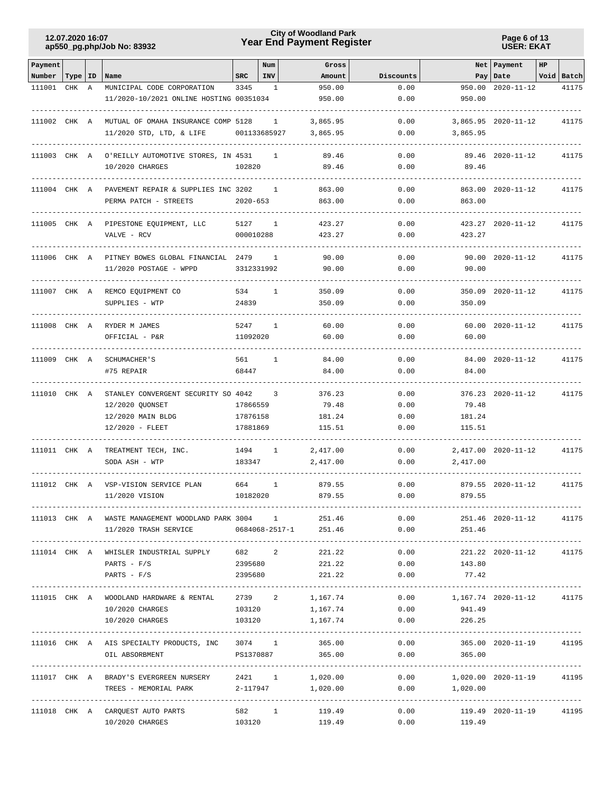## **Year End Payment Register City of Woodland Park 12.07.2020 16:07**

**Page 6 of 13 USER: EKAT**

| Payment      |           |   |                                                                                  |              | Num                      | Gross            |              |                                                    | Net Payment             | HP |            |
|--------------|-----------|---|----------------------------------------------------------------------------------|--------------|--------------------------|------------------|--------------|----------------------------------------------------|-------------------------|----|------------|
| Number       | Type   ID |   | Name                                                                             | SRC          | INV                      | Amount           | Discounts    |                                                    | Pay   Date              |    | Void Batch |
| 111001       | CHK       | A | MUNICIPAL CODE CORPORATION<br>11/2020-10/2021 ONLINE HOSTING 00351034            | 3345         | 1                        | 950.00<br>950.00 | 0.00<br>0.00 | 950.00<br>950.00                                   | $2020 - 11 - 12$        |    | 41175      |
| 111002 CHK A |           |   | MUTUAL OF OMAHA INSURANCE COMP 5128                                              |              | $\mathbf{1}$             | 3,865.95         | 0.00         |                                                    | $3,865.95$ 2020-11-12   |    | 41175      |
|              |           |   | 11/2020 STD, LTD, & LIFE                                                         |              | 001133685927             | 3,865.95         | 0.00         | 3,865.95                                           |                         |    |            |
| 111003 CHK A |           |   | O'REILLY AUTOMOTIVE STORES, IN 4531                                              |              | 1                        | 89.46            | 0.00         |                                                    | 89.46 2020-11-12        |    | 41175      |
|              |           |   | 10/2020 CHARGES                                                                  | 102820       |                          | 89.46            | 0.00         | 89.46                                              |                         |    |            |
| 111004 CHK A |           |   | PAVEMENT REPAIR & SUPPLIES INC 3202                                              |              | -1                       | 863.00           | 0.00         |                                                    | 863.00 2020-11-12       |    | 41175      |
|              |           |   | PERMA PATCH - STREETS                                                            | $2020 - 653$ |                          | 863.00           | 0.00         | 863.00                                             |                         |    |            |
| 111005 CHK A |           |   | PIPESTONE EQUIPMENT, LLC                                                         | 5127         | 1                        | 423.27           | 0.00         |                                                    | 423.27 2020-11-12       |    | 41175      |
|              |           |   | VALVE - RCV                                                                      | 000010288    |                          | 423.27           | 0.00         | 423.27                                             |                         |    |            |
| 111006 CHK A |           |   | PITNEY BOWES GLOBAL FINANCIAL 2479                                               |              | $\mathbf{1}$             | 90.00            | 0.00         |                                                    | 90.00 2020-11-12        |    | 41175      |
|              |           |   | 11/2020 POSTAGE - WPPD                                                           | 3312331992   |                          | 90.00            | 0.00         | 90.00                                              |                         |    |            |
| 111007 CHK A |           |   | REMCO EQUIPMENT CO                                                               | 534          | 1                        | 350.09           | 0.00         |                                                    | 350.09 2020-11-12       |    | 41175      |
|              |           |   | SUPPLIES - WTP                                                                   | 24839        |                          | 350.09           | 0.00         | 350.09                                             |                         |    |            |
| 111008 CHK A |           |   | RYDER M JAMES                                                                    | 5247         | 1                        | 60.00            | 0.00         |                                                    | 60.00 2020-11-12        |    | 41175      |
|              |           |   | OFFICIAL - P&R                                                                   | 11092020     |                          | 60.00            | 0.00         | 60.00                                              |                         |    |            |
| 111009 CHK A |           |   | SCHUMACHER'S                                                                     | 561          | $\mathbf{1}$             | 84.00            | 0.00         |                                                    | 84.00 2020-11-12        |    | 41175      |
|              |           |   | #75 REPAIR                                                                       | 68447        |                          | 84.00            | 0.00         | 84.00                                              |                         |    |            |
| 111010 CHK A |           |   | STANLEY CONVERGENT SECURITY SO 4042                                              |              | $\overline{\phantom{a}}$ | 376.23           | 0.00         |                                                    | 376.23 2020-11-12       |    | 41175      |
|              |           |   | 12/2020 QUONSET                                                                  | 17866559     |                          | 79.48            | 0.00         | 79.48                                              |                         |    |            |
|              |           |   | 12/2020 MAIN BLDG                                                                | 17876158     |                          | 181.24           | 0.00         | 181.24                                             |                         |    |            |
|              |           |   | 12/2020 - FLEET                                                                  | 17881869     |                          | 115.51           | 0.00         | 115.51                                             |                         |    |            |
| 111011 CHK A |           |   | TREATMENT TECH, INC.                                                             | 1494         | $\mathbf{1}$             | 2,417.00         | 0.00         |                                                    | 2,417.00 2020-11-12     |    | 41175      |
|              |           |   | SODA ASH - WTP                                                                   | 183347       |                          | 2,417.00         | 0.00         | 2,417.00                                           |                         |    |            |
| 111012 CHK A |           |   | VSP-VISION SERVICE PLAN                                                          | 664          | $\mathbf{1}$             | 879.55           | 0.00         |                                                    | 879.55 2020-11-12       |    | 41175      |
|              |           |   | 11/2020 VISION                                                                   | 10182020     |                          | 879.55           | 0.00         | 879.55                                             |                         |    |            |
|              |           |   | 111013 CHK A WASTE MANAGEMENT WOODLAND PARK 3004 1 251.46                        |              |                          |                  |              | 0.00                                               | 251.46 2020-11-12       |    | 41175      |
|              |           |   | 11/2020 TRASH SERVICE 0684068-2517-1 251.46                                      |              |                          |                  |              | 0.00<br>251.46                                     |                         |    |            |
|              |           |   | 111014 CHK A WHISLER INDUSTRIAL SUPPLY 682 2                                     |              |                          | 221.22           | 0.00         |                                                    | 221.22 2020-11-12 41175 |    |            |
|              |           |   | $PARTS - F/S$                                                                    | 2395680      |                          | 221.22           | 0.00         | 143.80                                             |                         |    |            |
|              |           |   | $PARTS - F/S$                                                                    | 2395680      |                          | 221.22           | 0.00         | 77.42                                              |                         |    |            |
|              |           |   | 111015 CHK A WOODLAND HARDWARE & RENTAL 2739 2 1,167.74 0.00 1,167.74 2020-11-12 |              |                          |                  |              |                                                    |                         |    | 41175      |
|              |           |   | 10/2020 CHARGES                                                                  |              | 103120                   |                  | 1,167.74     | $0.00$ 941.49                                      |                         |    |            |
|              |           |   | 10/2020 CHARGES                                                                  |              |                          | 103120 1,167.74  |              | $0.00$ 226.25                                      |                         |    |            |
|              |           |   | 111016 CHK A AIS SPECIALTY PRODUCTS, INC 3074 1                                  |              |                          | 365.00           | 0.00         |                                                    | 365.00 2020-11-19 41195 |    |            |
|              |           |   | PS1370887<br>OIL ABSORBMENT                                                      |              |                          | 365.00           | 0.00         | 365.00                                             |                         |    |            |
|              |           |   | 111017 CHK A BRADY'S EVERGREEN NURSERY 2421 1                                    |              |                          | 1,020.00         |              | --------------<br>$0.00$ 1,020.00 2020-11-19 41195 |                         |    |            |
|              |           |   | TREES - MEMORIAL PARK 2-117947 1,020.00                                          |              |                          |                  |              | $0.00$ 1,020.00                                    |                         |    |            |
|              |           |   | 111018 CHK A CARQUEST AUTO PARTS                                                 |              |                          | 582 1 119.49     |              | 0.00                                               | 119.49 2020-11-19 41195 |    |            |
|              |           |   | 10/2020 CHARGES                                                                  | 103120       |                          | 119.49           |              | 0.00<br>119.49                                     |                         |    |            |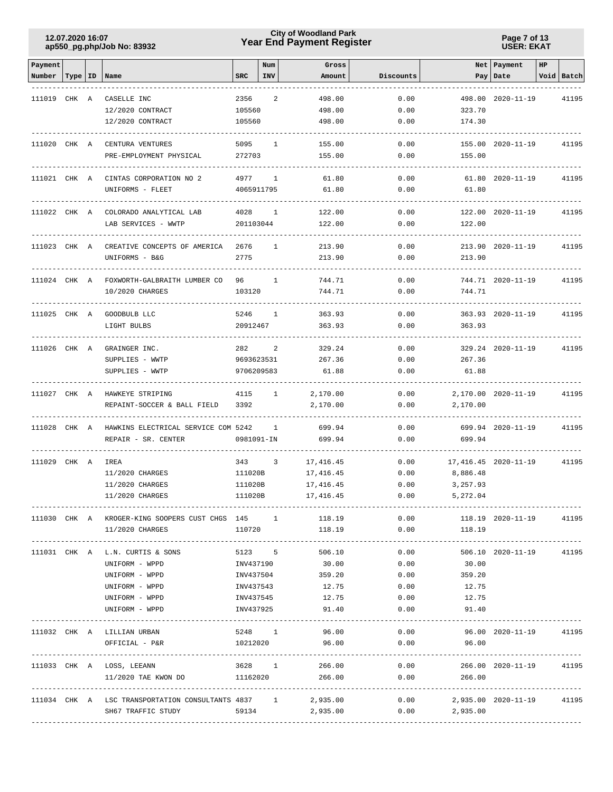## **Year End Payment Register City of Woodland Park 12.07.2020 16:07**

**Page 7 of 13 USER: EKAT**

| Payment      |           |                                                                     |            | Num            | Gross            |              |                                  | Net Payment             | HP |            |
|--------------|-----------|---------------------------------------------------------------------|------------|----------------|------------------|--------------|----------------------------------|-------------------------|----|------------|
| Number       | Type   ID | Name                                                                | <b>SRC</b> | <b>INV</b>     | Amount           | Discounts    |                                  | Pay   Date              |    | Void Batch |
| 111019 CHK A |           | CASELLE INC                                                         | 2356       | 2              | 498.00           | 0.00         |                                  | 498.00 2020-11-19       |    | 41195      |
|              |           | 12/2020 CONTRACT                                                    | 105560     |                | 498.00           | 0.00         | 323.70                           |                         |    |            |
|              |           | 12/2020 CONTRACT                                                    | 105560     |                | 498.00           | 0.00         | 174.30                           |                         |    |            |
|              |           |                                                                     |            |                |                  |              |                                  |                         |    |            |
| 111020 CHK A |           | CENTURA VENTURES                                                    | 5095       | 1              | 155.00           | 0.00         |                                  | 155.00 2020-11-19       |    | 41195      |
|              |           | PRE-EMPLOYMENT PHYSICAL                                             | 272703     |                | 155.00           | 0.00         | 155.00                           |                         |    |            |
| 111021 CHK A |           | CINTAS CORPORATION NO 2                                             | 4977       | 1              | 61.80            | 0.00         |                                  | 61.80 2020-11-19        |    | 41195      |
|              |           | UNIFORMS - FLEET                                                    | 4065911795 |                | 61.80            | 0.00         | 61.80                            |                         |    |            |
| 111022 CHK A |           | COLORADO ANALYTICAL LAB                                             | 4028       | 1              | 122.00           | 0.00         |                                  | 122.00 2020-11-19       |    | 41195      |
|              |           | LAB SERVICES - WWTP                                                 | 201103044  |                | 122.00           | 0.00         | 122.00                           |                         |    |            |
|              |           |                                                                     |            |                |                  |              |                                  |                         |    |            |
| 111023 CHK A |           | CREATIVE CONCEPTS OF AMERICA                                        | 2676       | 1              | 213.90           | 0.00         |                                  | 213.90 2020-11-19       |    | 41195      |
|              |           | UNIFORMS - B&G                                                      | 2775       |                | 213.90           | 0.00         | 213.90                           |                         |    |            |
|              |           | 111024 CHK A FOXWORTH-GALBRAITH LUMBER CO                           | 96 —       | 1              | 744.71           | 0.00         |                                  | 744.71 2020-11-19       |    | 41195      |
|              |           | 10/2020 CHARGES                                                     | 103120     |                | 744.71           | 0.00         | 744.71                           |                         |    |            |
|              |           |                                                                     |            |                |                  |              |                                  |                         |    |            |
| 111025 CHK A |           | GOODBULB LLC                                                        | 5246       | 1              | 363.93           | 0.00         |                                  | 363.93 2020-11-19       |    | 41195      |
|              |           | LIGHT BULBS                                                         | 20912467   |                | 363.93           | 0.00         | 363.93                           |                         |    |            |
| 111026 CHK A |           | GRAINGER INC.                                                       | 282        | 2              | 329.24           | 0.00         |                                  | 329.24 2020-11-19       |    | 41195      |
|              |           | SUPPLIES - WWTP                                                     | 9693623531 |                | 267.36           | 0.00         | 267.36                           |                         |    |            |
|              |           | SUPPLIES - WWTP                                                     | 9706209583 |                | 61.88            | 0.00         | 61.88                            |                         |    |            |
|              |           |                                                                     |            |                |                  |              |                                  |                         |    |            |
| 111027 CHK A |           | HAWKEYE STRIPING                                                    | 4115       | $\overline{1}$ | 2,170.00         | 0.00         |                                  | 2,170.00 2020-11-19     |    | 41195      |
|              |           | REPAINT-SOCCER & BALL FIELD                                         | 3392       |                | 2,170.00         | 0.00         | 2,170.00                         |                         |    |            |
| 111028 CHK A |           | HAWKINS ELECTRICAL SERVICE COM 5242                                 |            | $\mathbf{1}$   | 699.94           | 0.00         |                                  | 699.94 2020-11-19       |    | 41195      |
|              |           | REPAIR - SR. CENTER                                                 | 0981091-IN |                | 699.94           | 0.00         | 699.94                           |                         |    |            |
| 111029 CHK A |           | IREA                                                                | 343        | 3              | 17,416.45        | 0.00         |                                  | 17, 416.45 2020-11-19   |    | 41195      |
|              |           | 11/2020 CHARGES                                                     | 111020B    |                | 17,416.45        | 0.00         | 8,886.48                         |                         |    |            |
|              |           | 11/2020 CHARGES                                                     | 111020B    |                | 17, 416.45       | 0.00         | 3,257.93                         |                         |    |            |
|              |           | 11/2020 CHARGES                                                     | 111020B    |                | 17,416.45        | 0.00         | 5,272.04                         |                         |    |            |
|              |           |                                                                     |            |                |                  |              |                                  | ---------------------   |    |            |
|              |           | 111030 CHK A KROGER-KING SOOPERS CUST CHGS 145 1<br>11/2020 CHARGES | 110720     |                | 118.19<br>118.19 | 0.00<br>0.00 | 118.19                           | 118.19 2020-11-19       |    | 41195      |
|              |           |                                                                     |            |                |                  |              |                                  |                         |    |            |
|              |           | 111031 CHK A L.N. CURTIS & SONS                                     |            |                | 5123 5 506.10    | 0.00         |                                  | 506.10 2020-11-19       |    | 41195      |
|              |           | UNIFORM - WPPD                                                      |            |                | INV437190 30.00  |              | 0.00<br>30.00                    |                         |    |            |
|              |           | UNIFORM - WPPD                                                      |            |                | INV437504 359.20 |              | $0.00$ 359.20                    |                         |    |            |
|              |           | UNIFORM - WPPD                                                      | INV437543  |                | 12.75            | 0.00         | 12.75                            |                         |    |            |
|              |           | UNIFORM - WPPD                                                      | INV437545  |                | 12.75            | 0.00         | 12.75                            |                         |    |            |
|              |           | UNIFORM - WPPD                                                      | INV437925  |                | 91.40            | 0.00         | 91.40                            |                         |    |            |
|              |           | 111032 CHK A LILLIAN URBAN                                          | 5248 1     |                | 96.00            | 0.00         |                                  | 96.00 2020-11-19 41195  |    |            |
|              |           | OFFICIAL - P&R                                                      | 10212020   |                | 96.00            | 0.00         | 96.00                            |                         |    |            |
|              |           |                                                                     |            |                |                  |              |                                  |                         |    |            |
|              |           | 111033 CHK A LOSS, LEEANN 3628 1 266.00                             |            |                |                  |              | 0.00                             | 266.00 2020-11-19 41195 |    |            |
|              |           | 11/2020 TAE KWON DO 11162020 266.00<br>-------------------          |            |                |                  |              | $0.00$ 266.00                    |                         |    |            |
|              |           | 111034 CHK A LSC TRANSPORTATION CONSULTANTS 4837 1 2,935.00         |            |                |                  |              | $0.00$ 2,935.00 2020-11-19 41195 |                         |    |            |
|              |           |                                                                     |            |                |                  |              |                                  |                         |    |            |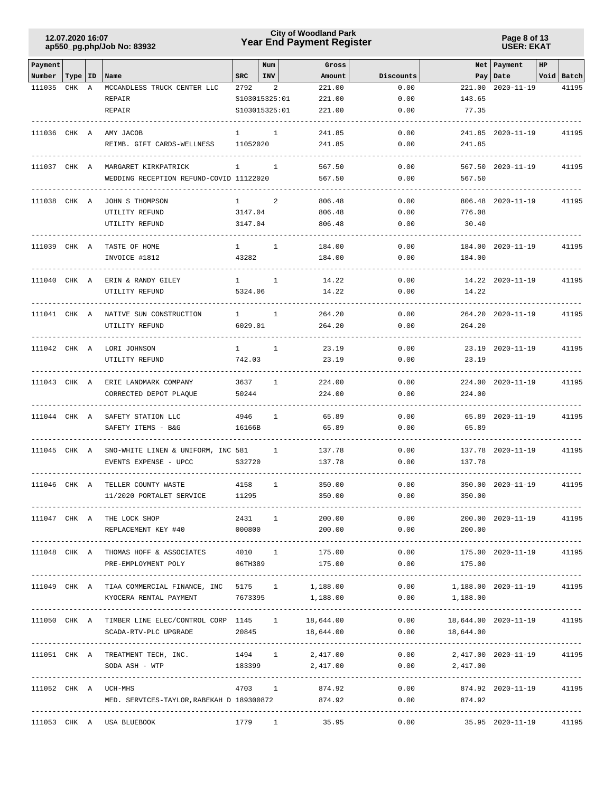## **Year End Payment Register City of Woodland Park 12.07.2020 16:07**

**Page 8 of 13 USER: EKAT**

| Payment      |           |   |                                                             |              | Num           | Gross           |           |                                  | Net Payment               | HP |            |
|--------------|-----------|---|-------------------------------------------------------------|--------------|---------------|-----------------|-----------|----------------------------------|---------------------------|----|------------|
| Number       | Type   ID |   | Name                                                        | <b>SRC</b>   | <b>INV</b>    | Amount          | Discounts |                                  | Pay Date                  |    | Void Batch |
| 111035       | CHK       | Α | MCCANDLESS TRUCK CENTER LLC                                 | 2792         | 2             | 221.00          | 0.00      | 221.00                           | $2020 - 11 - 19$          |    | 41195      |
|              |           |   | REPAIR                                                      |              | S103015325:01 | 221.00          | 0.00      | 143.65                           |                           |    |            |
|              |           |   | <b>REPAIR</b>                                               |              | S103015325:01 | 221.00          | 0.00      | 77.35                            |                           |    |            |
| 111036 CHK A |           |   | AMY JACOB                                                   | 1            | 1             | 241.85          | 0.00      |                                  | 241.85 2020-11-19         |    | 41195      |
|              |           |   | REIMB. GIFT CARDS-WELLNESS                                  | 11052020     |               | 241.85          | 0.00      | 241.85                           |                           |    |            |
|              |           |   |                                                             |              |               |                 |           |                                  |                           |    |            |
| 111037 CHK A |           |   | MARGARET KIRKPATRICK                                        | $\mathbf{1}$ | 1             | 567.50          | 0.00      |                                  | 567.50 2020-11-19         |    | 41195      |
|              |           |   | WEDDING RECEPTION REFUND-COVID 11122020                     |              |               | 567.50          | 0.00      | 567.50                           |                           |    |            |
| 111038 CHK A |           |   | JOHN S THOMPSON                                             | $\mathbf{1}$ | 2             | 806.48          | 0.00      |                                  | 806.48 2020-11-19         |    | 41195      |
|              |           |   | UTILITY REFUND                                              | 3147.04      |               | 806.48          | 0.00      | 776.08                           |                           |    |            |
|              |           |   | UTILITY REFUND                                              | 3147.04      |               | 806.48          | 0.00      | 30.40                            |                           |    |            |
|              |           |   |                                                             |              |               |                 |           |                                  |                           |    |            |
| 111039 CHK A |           |   | TASTE OF HOME                                               | $\mathbf{1}$ | 1             | 184.00          | 0.00      |                                  | 184.00 2020-11-19         |    | 41195      |
|              |           |   | INVOICE #1812                                               | 43282        |               | 184.00          | 0.00      | 184.00                           |                           |    |            |
| 111040 CHK A |           |   | ERIN & RANDY GILEY                                          | $\mathbf{1}$ | 1             | 14.22           | 0.00      |                                  | 14.22 2020-11-19          |    | 41195      |
|              |           |   | UTILITY REFUND                                              | 5324.06      |               | 14.22           | 0.00      | 14.22                            |                           |    |            |
|              |           |   |                                                             |              |               |                 |           |                                  |                           |    |            |
| 111041 CHK A |           |   | NATIVE SUN CONSTRUCTION                                     | 1            | 1             | 264.20          | 0.00      |                                  | 264.20 2020-11-19         |    | 41195      |
|              |           |   | UTILITY REFUND                                              | 6029.01      |               | 264.20          | 0.00      | 264.20                           |                           |    |            |
|              |           |   |                                                             |              |               |                 |           |                                  |                           |    |            |
| 111042 CHK A |           |   | LORI JOHNSON                                                | $1 \quad$    | 1             | 23.19           | 0.00      |                                  | 23.19 2020-11-19          |    | 41195      |
|              |           |   | UTILITY REFUND                                              | 742.03       |               | 23.19           | 0.00      | 23.19                            |                           |    |            |
|              |           |   | 111043 CHK A ERIE LANDMARK COMPANY                          | 3637         | $\mathbf{1}$  | 224.00          | 0.00      |                                  | 224.00 2020-11-19         |    | 41195      |
|              |           |   | CORRECTED DEPOT PLAQUE                                      | 50244        |               | 224.00          | 0.00      | 224.00                           |                           |    |            |
|              |           |   |                                                             |              |               |                 |           |                                  |                           |    |            |
| 111044 CHK A |           |   | SAFETY STATION LLC                                          | 4946         | 1             | 65.89           | 0.00      |                                  | 65.89 2020-11-19          |    | 41195      |
|              |           |   | SAFETY ITEMS - B&G                                          | 16166B       |               | 65.89           | 0.00      | 65.89                            |                           |    |            |
| 111045 CHK A |           |   | SNO-WHITE LINEN & UNIFORM, INC 581                          |              | 1             | 137.78          | 0.00      |                                  | 137.78 2020-11-19         |    | 41195      |
|              |           |   | EVENTS EXPENSE - UPCC                                       | S32720       |               | 137.78          | 0.00      | 137.78                           |                           |    |            |
|              |           |   |                                                             |              |               |                 |           |                                  |                           |    |            |
| 111046 CHK A |           |   | TELLER COUNTY WASTE                                         | 4158         | 1             | 350.00          | 0.00      |                                  | 350.00 2020-11-19         |    | 41195      |
|              |           |   | 11/2020 PORTALET SERVICE                                    | 11295        |               | 350.00          | 0.00      | 350.00                           |                           |    |            |
|              |           |   |                                                             |              |               |                 |           |                                  |                           |    |            |
|              |           |   | 111047 CHK A THE LOCK SHOP                                  | 2431 1       |               | 200.00          |           | 0.00                             | 200.00 2020-11-19         |    | 41195      |
|              |           |   | REPLACEMENT KEY #40                                         |              |               | 000800 200.00   |           | 0.00<br>200.00                   |                           |    |            |
|              |           |   | 111048 CHK A THOMAS HOFF & ASSOCIATES 4010 1 175.00         |              |               |                 | 0.00      |                                  | 175.00 2020-11-19 41195   |    |            |
|              |           |   | PRE-EMPLOYMENT POLY 06TH389 175.00                          |              |               |                 |           | $0.00$ 175.00                    |                           |    |            |
|              |           |   |                                                             |              |               |                 |           |                                  |                           |    |            |
|              |           |   | 111049 CHK A TIAA COMMERCIAL FINANCE, INC 5175 1            |              |               | 1,188.00        | 0.00      | 1,188.00  2020-11-19  41195      |                           |    |            |
|              |           |   | KYOCERA RENTAL PAYMENT 7673395                              |              |               | 1,188.00        | 0.00      | 1,188.00                         |                           |    |            |
|              |           |   | 111050 CHK A TIMBER LINE ELEC/CONTROL CORP 1145 1 18,644.00 |              |               |                 |           | $0.00$ 18,644.00 2020-11-19      |                           |    | 41195      |
|              |           |   | SCADA-RTV-PLC UPGRADE                                       |              | 20845         | 18,644.00       |           | $0.00$ 18,644.00                 |                           |    |            |
|              |           |   |                                                             |              |               |                 |           |                                  |                           |    |            |
|              |           |   | 111051 CHK A TREATMENT TECH, INC. 1994 1 2,417.00           |              |               |                 |           | $0.00$ 2,417.00 2020-11-19 41195 |                           |    |            |
|              |           |   | SODA ASH - WTP                                              |              |               | 183399 2,417.00 |           | $0.00$ 2,417.00                  |                           |    |            |
|              |           |   |                                                             |              |               |                 |           |                                  |                           |    |            |
|              |           |   | 111052 CHK A UCH-MHS                                        |              | 4703 1        | 874.92          | 0.00      |                                  | 874.92  2020-11-19  41195 |    |            |
|              |           |   | MED. SERVICES-TAYLOR, RABEKAH D 189300872                   |              |               | 874.92          | 0.00      | 874.92                           |                           |    |            |
|              |           |   | 111053 CHK A USA BLUEBOOK                                   |              |               | 1779 1 35.95    |           | $0.00$ 35.95 2020-11-19 41195    |                           |    |            |
|              |           |   |                                                             |              |               |                 |           |                                  |                           |    |            |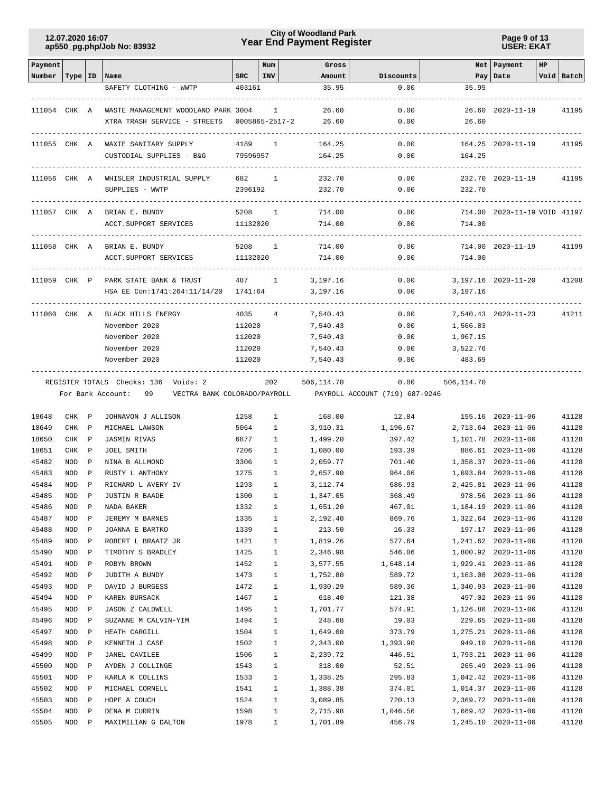## **Year End Payment Register City of Woodland Park 12.07.2020 16:07**

**Page 9 of 13 USER: EKAT**

| Payment            |                  |                             |                                                  |              | Num                      | Gross                |                                                             |            | Net   Payment                              | HP |                |
|--------------------|------------------|-----------------------------|--------------------------------------------------|--------------|--------------------------|----------------------|-------------------------------------------------------------|------------|--------------------------------------------|----|----------------|
| Number   Type   ID |                  |                             | Name                                             | SRC          | <b>INV</b>               | Amount               | Discounts                                                   |            | Pay Date                                   |    | Void Batch     |
|                    |                  |                             | SAFETY CLOTHING - WWTP                           | 403161       |                          | 35.95                | 0.00                                                        | 35.95      |                                            |    |                |
|                    |                  |                             |                                                  |              |                          |                      |                                                             |            |                                            |    |                |
|                    |                  |                             | 111054 CHK A WASTE MANAGEMENT WOODLAND PARK 3004 |              | $\overline{\phantom{1}}$ | 26.60                | 0.00                                                        |            | 26.60 2020-11-19                           |    | 41195          |
|                    |                  |                             | XTRA TRASH SERVICE - STREETS                     |              | 0005865-2517-2           | 26.60                | 0.00                                                        | 26.60      |                                            |    |                |
|                    |                  |                             |                                                  |              |                          |                      |                                                             |            |                                            |    |                |
| 111055 CHK A       |                  |                             | WAXIE SANITARY SUPPLY                            | 4189         | $\mathbf{1}$             | 164.25               | 0.00                                                        |            | 164.25 2020-11-19                          |    | 41195          |
|                    |                  |                             | CUSTODIAL SUPPLIES - B&G                         | 79596957     |                          | 164.25               | 0.00                                                        | 164.25     |                                            |    |                |
|                    |                  |                             |                                                  |              |                          |                      |                                                             |            |                                            |    |                |
| 111056 CHK A       |                  |                             | WHISLER INDUSTRIAL SUPPLY                        |              | $\mathbf{1}$             | 232.70               | 0.00                                                        |            | 232.70 2020-11-19                          |    | 41195          |
|                    |                  |                             | SUPPLIES - WWTP                                  | 2396192      |                          | 232.70               | 0.00                                                        | 232.70     |                                            |    |                |
|                    |                  |                             |                                                  |              |                          |                      |                                                             |            |                                            |    |                |
|                    |                  |                             | 111057 CHK A BRIAN E. BUNDY                      | 5208         | $\mathbf{1}$             | 714.00               | 0.00                                                        |            | 714.00 2020-11-19 VOID 41197               |    |                |
|                    |                  |                             | ACCT.SUPPORT SERVICES                            | 11132020     |                          | 714.00               | 0.00                                                        | 714.00     |                                            |    |                |
| 111058 CHK A       |                  |                             | BRIAN E. BUNDY                                   |              | 5208 1                   | 714.00               | 0.00                                                        |            | 714.00 2020-11-19                          |    | 41199          |
|                    |                  |                             | ACCT. SUPPORT SERVICES                           | 11132020     |                          | 714.00               | 0.00                                                        | 714.00     |                                            |    |                |
|                    |                  |                             |                                                  |              |                          |                      |                                                             |            |                                            |    |                |
|                    |                  |                             | 111059 CHK P PARK STATE BANK & TRUST             | 487 1        |                          | 3,197.16             | 0.00                                                        |            | 3,197.16 2020-11-20                        |    | 41208          |
|                    |                  |                             | HSA EE Con:1741:264:11/14/20 1741:64             |              |                          | 3,197.16             | 0.00                                                        | 3,197.16   |                                            |    |                |
|                    |                  |                             |                                                  |              |                          |                      |                                                             |            |                                            |    |                |
|                    |                  |                             | 111060 CHK A BLACK HILLS ENERGY                  |              | 4035 4                   | 7,540.43             | 0.00                                                        |            | 7,540.43 2020-11-23                        |    | 41211          |
|                    |                  |                             | November 2020                                    | 112020       |                          | 7,540.43             | 0.00                                                        | 1,566.83   |                                            |    |                |
|                    |                  |                             | November 2020                                    | 112020       |                          | 7,540.43             | 0.00                                                        | 1,967.15   |                                            |    |                |
|                    |                  |                             | November 2020                                    | 112020       |                          | 7,540.43             | 0.00                                                        | 3,522.76   |                                            |    |                |
|                    |                  |                             | November 2020                                    | 112020       |                          | 7,540.43             | 0.00                                                        | 483.69     |                                            |    |                |
|                    |                  |                             |                                                  |              |                          |                      |                                                             |            |                                            |    |                |
|                    |                  |                             | REGISTER TOTALS Checks: 136 Voids: 2             |              | 202                      | 506,114.70           | 0.00                                                        | 506,114.70 |                                            |    |                |
|                    |                  |                             | For Bank Account: 99                             |              |                          |                      | VECTRA BANK COLORADO/PAYROLL PAYROLL ACCOUNT (719) 687-9246 |            |                                            |    |                |
|                    |                  |                             |                                                  |              |                          |                      |                                                             |            |                                            |    |                |
| 18648              | CHK P            |                             | JOHNAVON J ALLISON                               | 1258         | $\mathbf{1}$             | 168.00               | 12.84                                                       |            | 155.16 2020-11-06                          |    | 41128          |
| 18649              | CHK              | $\mathbb{P}$                | MICHAEL LAWSON                                   | 5064         | 1                        | 3,910.31             | 1,196.67                                                    |            | 2,713.64 2020-11-06                        |    | 41128          |
| 18650              | CHK              | $\mathbb{P}$                | <b>JASMIN RIVAS</b>                              | 6877         | $\mathbf{1}$             | 1,499.20             | 397.42                                                      |            | 1,101.78 2020-11-06                        |    | 41128          |
| 18651              | CHK              | $\mathbb{P}$                | JOEL SMITH                                       | 7206         | $\mathbf{1}$             | 1,080.00             | 193.39                                                      |            | 886.61 2020-11-06                          |    | 41128          |
| 45482              | NOD              | $\mathbb{P}$                | NINA B ALLMOND                                   | 3306         | 1                        | 2,059.77             | 701.40                                                      |            | 1,358.37 2020-11-06                        |    | 41128          |
| 45483              | NOD              | $\mathbf P$                 | RUSTY L ANTHONY                                  | 1275         | $\mathbf{1}$             | 2,657.90             | 964.06                                                      |            | 1,693.84 2020-11-06                        |    | 41128          |
| 45484              | NOD              | $\mathbf P$                 | RICHARD L AVERY IV                               | 1293         | $\mathbf{1}$             | 3,112.74             | 686.93                                                      |            | 2,425.81 2020-11-06                        |    | 41128          |
| 45485              | NOD              | $\mathbb{P}$                | JUSTIN R BAADE                                   | 1300         | $\mathbf{1}$             | 1,347.05             | 368.49                                                      |            | 978.56 2020-11-06                          |    | 41128          |
| 45486              | NOD              | P                           | NADA BAKER                                       | 1332         | $\mathbf{1}$             | 1,651.20             | 467.01                                                      |            | 1,184.19 2020-11-06                        |    | 41128          |
| 45487              | NOD              | $\mathbb P$                 | JEREMY M BARNES                                  | 1335         | $\mathbf{1}$             | 2,192.40             | 869.76                                                      |            | 1,322.64 2020-11-06                        |    | 41128          |
| 45488              | NOD              | $\, {\bf P}$                | JOANNA E BARTKO                                  | 1339         | $\mathbf{1}$             | 213.50               | 16.33                                                       |            | 197.17 2020-11-06                          |    | 41128          |
| 45489              | NOD              | $\mathbb P$                 | ROBERT L BRAATZ JR                               | 1421         | $\mathbf{1}$             | 1,819.26             | 577.64                                                      |            | 1,241.62 2020-11-06                        |    | 41128          |
| 45490              | NOD              | P                           | TIMOTHY S BRADLEY                                | 1425         | $\mathbf{1}$             | 2,346.98             | 546.06                                                      |            | 1,800.92 2020-11-06                        |    | 41128          |
| 45491              | NOD              | $\mathbb{P}$                | ROBYN BROWN                                      | 1452         | $\mathbf{1}$             | 3,577.55             | 1,648.14                                                    |            | 1,929.41 2020-11-06                        |    | 41128          |
| 45492              | NOD              | $\mathbb{P}$                | JUDITH A BUNDY                                   | 1473         | $\mathbf{1}$             | 1,752.80             | 589.72                                                      |            | 1,163.08 2020-11-06                        |    | 41128          |
| 45493              | NOD              | $\mathbb{P}$                | DAVID J BURGESS                                  | 1472         | 1                        | 1,930.29             | 589.36                                                      |            | 1,340.93 2020-11-06                        |    | 41128          |
| 45494              | NOD              | $\mathbb{P}$                | KAREN BURSACK                                    | 1467         | $\mathbf{1}$             | 618.40               | 121.38                                                      |            | 497.02 2020-11-06                          |    | 41128          |
| 45495              | NOD              | $\mathbb{P}$                | JASON Z CALDWELL                                 | 1495         | $\mathbf{1}$             | 1,701.77             | 574.91                                                      |            | 1,126.86 2020-11-06                        |    | 41128          |
| 45496              | NOD              | $\mathbb{P}$                | SUZANNE M CALVIN-YIM                             | 1494         | $\mathbf{1}$             | 248.68               | 19.03                                                       |            | 229.65 2020-11-06                          |    | 41128          |
| 45497              | NOD              | $\, {\bf P}$                | HEATH CARGILL                                    | 1504         | $\mathbf{1}$             | 1,649.00             | 373.79                                                      |            | 1,275.21 2020-11-06                        |    | 41128          |
| 45498              | NOD              | $\mathbb{P}$                | KENNETH J CASE                                   | 1502         | $\mathbf{1}$             | 2,343.00             | 1,393.90                                                    |            | 949.10 2020-11-06                          |    | 41128          |
| 45499              | NOD              | P                           | JANEL CAVILEE                                    | 1506         | $\mathbf{1}$             | 2,239.72             | 446.51                                                      |            | 1,793.21 2020-11-06                        |    | 41128          |
| 45500              | NOD              | $\, {\bf P}$                | AYDEN J COLLINGE                                 | 1543         | $\mathbf{1}$             | 318.00               | 52.51                                                       |            | 265.49 2020-11-06                          |    | 41128          |
| 45501              |                  |                             |                                                  |              |                          |                      |                                                             |            |                                            |    |                |
|                    | NOD              | $\mathbb{P}$                | KARLA K COLLINS                                  | 1533         | $\mathbf{1}$             | 1,338.25             | 295.83                                                      |            | 1,042.42 2020-11-06                        |    | 41128          |
|                    |                  | $\, {\bf P}$                |                                                  |              | $\mathbf{1}$             |                      |                                                             |            |                                            |    |                |
| 45502              | NOD              |                             | MICHAEL CORNELL                                  | 1541         | $\mathbf{1}$             | 1,388.38             | 374.01                                                      |            | 1,014.37 2020-11-06                        |    | 41128          |
| 45503<br>45504     | NOD<br>$\rm NOD$ | $\mathbb{P}$<br>$\mathbb P$ | HOPE A COUCH<br>DENA M CURRIN                    | 1524<br>1598 | $\mathbf{1}$             | 3,089.85<br>2,715.98 | 720.13<br>1,046.56                                          |            | 2,369.72 2020-11-06<br>1,669.42 2020-11-06 |    | 41128<br>41128 |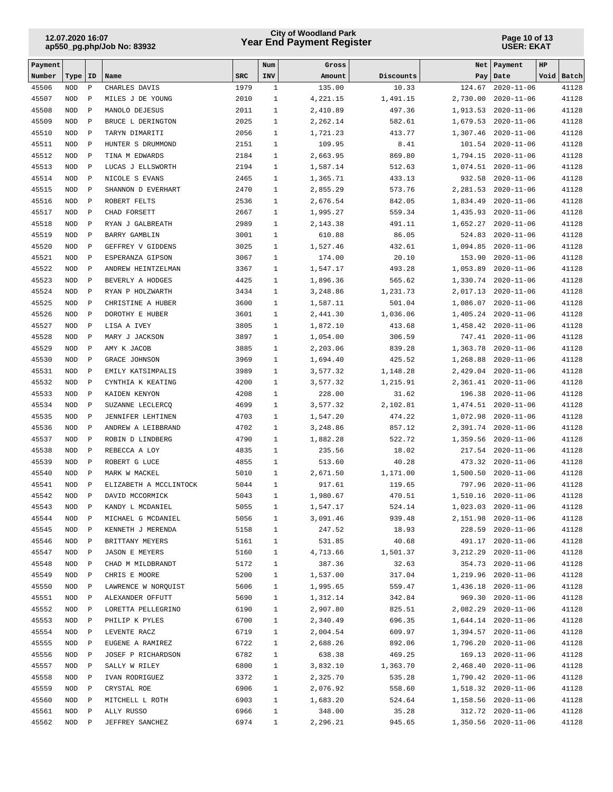## **Year End Payment Register City of Woodland Park 12.07.2020 16:07**

#### **Page 10 of 13 USER: EKAT**

| Payment        |                          |                              |                                         |              | Num                          | Gross                |                    | Net                  | Payment                                    | HP |                |
|----------------|--------------------------|------------------------------|-----------------------------------------|--------------|------------------------------|----------------------|--------------------|----------------------|--------------------------------------------|----|----------------|
| Number         | Type                     | ID                           | Name                                    | <b>SRC</b>   | INV                          | Amount               | Discounts          | Pay                  | Date                                       |    | Void Batch     |
| 45506          | <b>NOD</b>               | $\, {\bf P}$                 | CHARLES DAVIS                           | 1979         | $\mathbf{1}$                 | 135.00               | 10.33              | 124.67               | $2020 - 11 - 06$                           |    | 41128          |
| 45507          | <b>NOD</b>               | $\, {\bf P}$                 | MILES J DE YOUNG                        | 2010         | $\mathbf{1}$                 | 4,221.15             | 1,491.15           | 2,730.00             | $2020 - 11 - 06$                           |    | 41128          |
| 45508          | <b>NOD</b>               | $\, {\bf P}$                 | MANOLO DEJESUS                          | 2011         | $\mathbf{1}$                 | 2,410.89             | 497.36             | 1,913.53             | $2020 - 11 - 06$                           |    | 41128          |
| 45509          | <b>NOD</b>               | $\, {\bf P}$                 | BRUCE L DERINGTON                       | 2025         | $\mathbf{1}$                 | 2,262.14             | 582.61             | 1,679.53             | $2020 - 11 - 06$                           |    | 41128          |
| 45510          | <b>NOD</b>               | $\, {\bf P}$                 | TARYN DIMARITI                          | 2056         | $\mathbf{1}$                 | 1,721.23             | 413.77             | 1,307.46             | $2020 - 11 - 06$                           |    | 41128          |
| 45511          | <b>NOD</b>               | $\, {\bf P}$                 | HUNTER S DRUMMOND                       | 2151         | $\mathbf{1}$                 | 109.95               | 8.41               | 101.54               | $2020 - 11 - 06$                           |    | 41128          |
| 45512          | <b>NOD</b>               | $\, {\bf P}$                 | TINA M EDWARDS                          | 2184         | $\mathbf{1}$<br>$\mathbf{1}$ | 2,663.95             | 869.80             | 1,794.15             | $2020 - 11 - 06$                           |    | 41128          |
| 45513<br>45514 | <b>NOD</b><br><b>NOD</b> | $\mathbf{P}$<br>$\, {\bf P}$ | LUCAS J ELLSWORTH<br>NICOLE S EVANS     | 2194<br>2465 | $\mathbf{1}$                 | 1,587.14<br>1,365.71 | 512.63<br>433.13   | 1,074.51<br>932.58   | $2020 - 11 - 06$<br>$2020 - 11 - 06$       |    | 41128<br>41128 |
| 45515          | <b>NOD</b>               | $\, {\bf P}$                 | SHANNON D EVERHART                      | 2470         | $\mathbf{1}$                 | 2,855.29             | 573.76             | 2,281.53             | $2020 - 11 - 06$                           |    | 41128          |
| 45516          | <b>NOD</b>               | $\, {\bf P}$                 | ROBERT FELTS                            | 2536         | $\mathbf{1}$                 | 2,676.54             | 842.05             | 1,834.49             | $2020 - 11 - 06$                           |    | 41128          |
| 45517          | <b>NOD</b>               | $\, {\bf P}$                 | CHAD FORSETT                            | 2667         | $\mathbf{1}$                 | 1,995.27             | 559.34             | 1,435.93             | $2020 - 11 - 06$                           |    | 41128          |
| 45518          | <b>NOD</b>               | $\, {\bf P}$                 | RYAN J GALBREATH                        | 2989         | $\mathbf{1}$                 | 2,143.38             | 491.11             | 1,652.27             | $2020 - 11 - 06$                           |    | 41128          |
| 45519          | <b>NOD</b>               | $\, {\bf P}$                 | BARRY GAMBLIN                           | 3001         | $\mathbf{1}$                 | 610.88               | 86.05              | 524.83               | $2020 - 11 - 06$                           |    | 41128          |
| 45520          | <b>NOD</b>               | $\, {\bf P}$                 | GEFFREY V GIDDENS                       | 3025         | $\mathbf{1}$                 | 1,527.46             | 432.61             | 1,094.85             | $2020 - 11 - 06$                           |    | 41128          |
| 45521          | <b>NOD</b>               | $\, {\bf P}$                 | ESPERANZA GIPSON                        | 3067         | $\mathbf{1}$                 | 174.00               | 20.10              | 153.90               | $2020 - 11 - 06$                           |    | 41128          |
| 45522          | <b>NOD</b>               | $\, {\bf P}$                 | ANDREW HEINTZELMAN                      | 3367         | $\mathbf{1}$                 | 1,547.17             | 493.28             | 1,053.89             | $2020 - 11 - 06$                           |    | 41128          |
| 45523          | <b>NOD</b>               | $\, {\bf P}$                 | BEVERLY A HODGES                        | 4425         | $\mathbf{1}$                 | 1,896.36             | 565.62             | 1,330.74             | $2020 - 11 - 06$                           |    | 41128          |
| 45524          | <b>NOD</b>               | $\, {\bf P}$                 | RYAN P HOLZWARTH                        | 3434         | $\mathbf{1}$                 | 3,248.86             | 1,231.73           | 2,017.13             | $2020 - 11 - 06$                           |    | 41128          |
| 45525          | <b>NOD</b>               | $\, {\bf P}$                 | CHRISTINE A HUBER                       | 3600         | $\mathbf{1}$                 | 1,587.11             | 501.04             | 1,086.07             | $2020 - 11 - 06$                           |    | 41128          |
| 45526          | <b>NOD</b>               | $\, {\bf P}$                 | DOROTHY E HUBER                         | 3601         | $\mathbf{1}$                 | 2,441.30             | 1,036.06           | 1,405.24             | $2020 - 11 - 06$                           |    | 41128          |
| 45527          | <b>NOD</b>               | $\, {\bf P}$                 | LISA A IVEY                             | 3805         | $\mathbf{1}$                 | 1,872.10             | 413.68             | 1,458.42             | $2020 - 11 - 06$                           |    | 41128          |
| 45528          | <b>NOD</b>               | $\, {\bf P}$                 | MARY J JACKSON                          | 3897         | $\mathbf{1}$                 | 1,054.00             | 306.59             | 747.41               | $2020 - 11 - 06$                           |    | 41128          |
| 45529          | <b>NOD</b>               | $\, {\bf P}$                 | AMY K JACOB                             | 3885         | $\mathbf{1}$                 | 2,203.06             | 839.28             | 1,363.78             | $2020 - 11 - 06$                           |    | 41128          |
| 45530          | <b>NOD</b>               | $\, {\bf P}$                 | <b>GRACE JOHNSON</b>                    | 3969         | $\mathbf{1}$                 | 1,694.40             | 425.52             | 1,268.88             | $2020 - 11 - 06$                           |    | 41128          |
| 45531          | <b>NOD</b>               | $\, {\bf P}$                 | EMILY KATSIMPALIS                       | 3989         | $\mathbf{1}$                 | 3,577.32             | 1,148.28           | 2,429.04             | $2020 - 11 - 06$                           |    | 41128          |
| 45532          | <b>NOD</b>               | $\, {\bf P}$                 | CYNTHIA K KEATING                       | 4200         | $\mathbf{1}$                 | 3,577.32             | 1,215.91           | 2,361.41             | $2020 - 11 - 06$                           |    | 41128          |
| 45533          | <b>NOD</b>               | $\, {\bf P}$                 | KAIDEN KENYON                           | 4208         | $\mathbf{1}$                 | 228.00               | 31.62              | 196.38               | $2020 - 11 - 06$                           |    | 41128          |
| 45534          | <b>NOD</b>               | $\, {\bf P}$                 | SUZANNE LECLERCO                        | 4699         | $\mathbf{1}$                 | 3,577.32             | 2,102.81           | 1,474.51             | $2020 - 11 - 06$                           |    | 41128<br>41128 |
| 45535<br>45536 | <b>NOD</b><br><b>NOD</b> | $\, {\bf P}$<br>$\, {\bf P}$ | JENNIFER LEHTINEN<br>ANDREW A LEIBBRAND | 4703<br>4702 | $\mathbf{1}$<br>$\mathbf{1}$ | 1,547.20<br>3,248.86 | 474.22<br>857.12   | 1,072.98<br>2,391.74 | $2020 - 11 - 06$<br>$2020 - 11 - 06$       |    | 41128          |
| 45537          | <b>NOD</b>               | $\, {\bf P}$                 | ROBIN D LINDBERG                        | 4790         | $\mathbf{1}$                 | 1,882.28             | 522.72             | 1,359.56             | $2020 - 11 - 06$                           |    | 41128          |
| 45538          | <b>NOD</b>               | $\, {\bf P}$                 | REBECCA A LOY                           | 4835         | $\mathbf{1}$                 | 235.56               | 18.02              | 217.54               | $2020 - 11 - 06$                           |    | 41128          |
| 45539          | <b>NOD</b>               | $\, {\bf P}$                 | ROBERT G LUCE                           | 4855         | $\mathbf{1}$                 | 513.60               | 40.28              | 473.32               | $2020 - 11 - 06$                           |    | 41128          |
| 45540          | <b>NOD</b>               | $\, {\bf P}$                 | MARK W MACKEL                           | 5010         | $\mathbf{1}$                 | 2,671.50             | 1,171.00           | 1,500.50             | $2020 - 11 - 06$                           |    | 41128          |
| 45541          | <b>NOD</b>               | $\mathbf{P}$                 | ELIZABETH A MCCLINTOCK                  | 5044         | $\mathbf{1}$                 | 917.61               | 119.65             | 797.96               | $2020 - 11 - 06$                           |    | 41128          |
| 45542          | <b>NOD</b>               | $\mathbf P$                  | DAVID MCCORMICK                         | 5043         | $\mathbf{1}$                 | 1,980.67             | 470.51             | 1,510.16             | $2020 - 11 - 06$                           |    | 41128          |
| 45543          | NOD                      | $\mathbb P$                  | KANDY L MCDANIEL                        | 5055         | $\mathbf 1$                  | 1,547.17             | 524.14             | 1,023.03             | $2020 - 11 - 06$                           |    | 41128          |
| 45544          | NOD                      | $\, {\bf P}$                 | MICHAEL G MCDANIEL                      | 5056         | 1                            | 3,091.46             | 939.48             |                      | 2,151.98 2020-11-06                        |    | 41128          |
| 45545          | NOD                      | $\, {\bf P}$                 | KENNETH J MERENDA                       | 5158         | $\mathbf{1}$                 | 247.52               | 18.93              |                      | 228.59 2020-11-06                          |    | 41128          |
| 45546          | $\rm NOD$                | $\, {\bf P}$                 | BRITTANY MEYERS                         | 5161         | $\mathbf{1}$                 | 531.85               | 40.68              |                      | 491.17 2020-11-06                          |    | 41128          |
| 45547          | NOD                      | $\mathbb{P}$                 | <b>JASON E MEYERS</b>                   | 5160         | $\mathbf{1}$                 | 4,713.66             | 1,501.37           |                      | 3, 212.29 2020-11-06                       |    | 41128          |
| 45548          | NOD                      | $\, {\bf P}$                 | CHAD M MILDBRANDT                       | 5172         | $\mathbf{1}$                 | 387.36               | 32.63              |                      | 354.73 2020-11-06                          |    | 41128          |
| 45549          | NOD                      | $\, {\bf P}$                 | CHRIS E MOORE                           | 5200         | $\mathbf{1}$                 | 1,537.00             | 317.04             |                      | 1,219.96 2020-11-06                        |    | 41128          |
| 45550          | NOD                      | $\, {\bf P}$                 | LAWRENCE W NORQUIST                     | 5606         | $\mathbf{1}$                 | 1,995.65             | 559.47             |                      | 1,436.18 2020-11-06                        |    | 41128          |
| 45551          | NOD                      | $\mathbb{P}$                 | ALEXANDER OFFUTT                        | 5690         | 1                            | 1,312.14             | 342.84             |                      | 969.30 2020-11-06                          |    | 41128          |
| 45552          | NOD                      | $\mathbb{P}$                 | LORETTA PELLEGRINO                      | 6190         | $\mathbf{1}$                 | 2,907.80             | 825.51             |                      | 2,082.29 2020-11-06                        |    | 41128          |
| 45553          | NOD                      | $\mathbb{P}$                 | PHILIP K PYLES                          | 6700         | 1                            | 2,340.49             | 696.35             |                      | 1,644.14 2020-11-06                        |    | 41128          |
| 45554          | NOD                      | $\, {\bf P}$                 | LEVENTE RACZ                            | 6719         | $\mathbf{1}$                 | 2,004.54             | 609.97             |                      | 1,394.57 2020-11-06                        |    | 41128          |
| 45555          | NOD                      | $\mathbb{P}$                 | EUGENE A RAMIREZ                        | 6722         | $\mathbf{1}$                 | 2,688.26             | 892.06             |                      | 1,796.20 2020-11-06                        |    | 41128          |
| 45556          | NOD                      | $\mathbb{P}$                 | JOSEF P RICHARDSON                      | 6782         | $\mathbf{1}$                 | 638.38               | 469.25             |                      | 169.13 2020-11-06                          |    | 41128          |
| 45557<br>45558 | NOD<br>NOD               | $\, {\bf P}$<br>$\, {\bf P}$ | SALLY W RILEY                           | 6800<br>3372 | $\mathbf{1}$<br>$\mathbf{1}$ | 3,832.10<br>2,325.70 | 1,363.70<br>535.28 |                      | 2,468.40 2020-11-06<br>1,790.42 2020-11-06 |    | 41128<br>41128 |
| 45559          | NOD                      | $\, {\bf P}$                 | IVAN RODRIGUEZ<br>CRYSTAL ROE           | 6906         | $\mathbf{1}$                 | 2,076.92             | 558.60             |                      | 1,518.32 2020-11-06                        |    | 41128          |
| 45560          | <b>NOD</b>               | $\, {\bf P}$                 | MITCHELL L ROTH                         | 6903         | $\mathbf{1}$                 | 1,683.20             | 524.64             |                      | 1,158.56 2020-11-06                        |    | 41128          |
| 45561          | NOD                      | $\mathbb{P}$                 | ALLY RUSSO                              | 6966         | $\mathbf{1}$                 | 348.00               | 35.28              |                      | 312.72 2020-11-06                          |    | 41128          |
| 45562          | $\rm NOD$                | $\mathbb{P}$                 | JEFFREY SANCHEZ                         | 6974         | $\mathbf{1}$                 | 2,296.21             | 945.65             |                      | 1,350.56 2020-11-06                        |    | 41128          |
|                |                          |                              |                                         |              |                              |                      |                    |                      |                                            |    |                |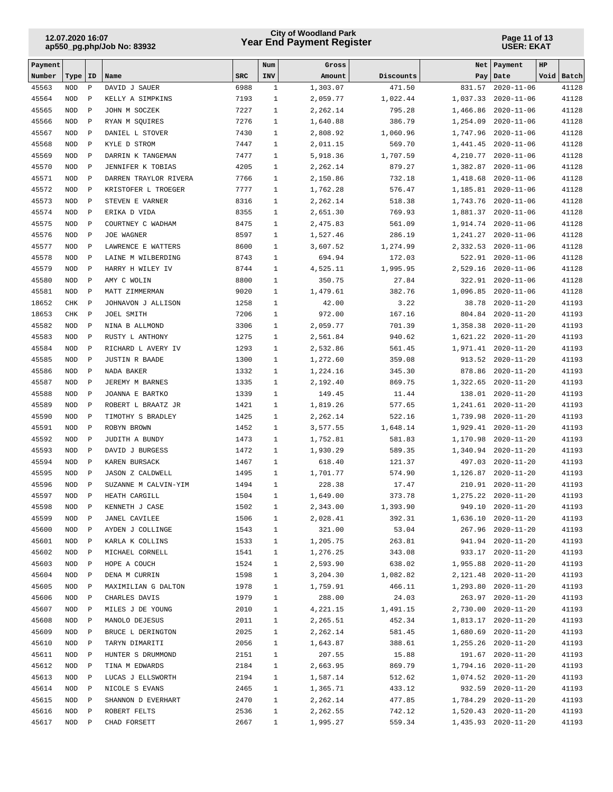## **Year End Payment Register City of Woodland Park 12.07.2020 16:07**

#### **Page 11 of 13 USER: EKAT**

| Payment        |                          |                              |                                            |              | Num                          | Gross                |                    | Net                  | Payment                                  | HP             |  |
|----------------|--------------------------|------------------------------|--------------------------------------------|--------------|------------------------------|----------------------|--------------------|----------------------|------------------------------------------|----------------|--|
| Number         | Type                     | <b>ID</b>                    | Name                                       | <b>SRC</b>   | INV                          | Amount               | Discounts          | Pay                  | Date                                     | Void Batch     |  |
| 45563          | <b>NOD</b>               | $\, {\bf P}$                 | DAVID J SAUER                              | 6988         | $\mathbf{1}$                 | 1,303.07             | 471.50             | 831.57               | $2020 - 11 - 06$                         | 41128          |  |
| 45564          | <b>NOD</b>               | $\, {\bf P}$                 | KELLY A SIMPKINS                           | 7193         | $\mathbf{1}$                 | 2,059.77             | 1,022.44           | 1,037.33             | $2020 - 11 - 06$                         | 41128          |  |
| 45565          | <b>NOD</b>               | $\, {\bf P}$                 | JOHN M SOCZEK                              | 7227         | $\mathbf{1}$                 | 2,262.14             | 795.28             | 1,466.86             | $2020 - 11 - 06$                         | 41128          |  |
| 45566          | <b>NOD</b>               | $\, {\bf P}$                 | RYAN M SOUIRES                             | 7276         | $\mathbf{1}$                 | 1,640.88             | 386.79             | 1,254.09             | $2020 - 11 - 06$                         | 41128          |  |
| 45567          | <b>NOD</b>               | $\, {\bf P}$                 | DANIEL L STOVER                            | 7430         | $\mathbf{1}$                 | 2,808.92             | 1,060.96           | 1,747.96             | $2020 - 11 - 06$                         | 41128          |  |
| 45568          | <b>NOD</b>               | $\, {\bf P}$                 | KYLE D STROM                               | 7447         | $\mathbf{1}$                 | 2,011.15             | 569.70             | 1,441.45             | $2020 - 11 - 06$                         | 41128          |  |
| 45569<br>45570 | <b>NOD</b>               | $\, {\bf P}$                 | DARRIN K TANGEMAN                          | 7477<br>4205 | $\mathbf{1}$<br>$\mathbf{1}$ | 5,918.36             | 1,707.59<br>879.27 | 4,210.77             | $2020 - 11 - 06$                         | 41128<br>41128 |  |
| 45571          | <b>NOD</b><br><b>NOD</b> | $\, {\bf P}$<br>$\, {\bf P}$ | JENNIFER K TOBIAS<br>DARREN TRAYLOR RIVERA | 7766         | $\mathbf{1}$                 | 2,262.14<br>2,150.86 | 732.18             | 1,382.87<br>1,418.68 | $2020 - 11 - 06$<br>$2020 - 11 - 06$     | 41128          |  |
| 45572          | <b>NOD</b>               | $\, {\bf P}$                 | KRISTOFER L TROEGER                        | 7777         | $\mathbf{1}$                 | 1,762.28             | 576.47             | 1,185.81             | $2020 - 11 - 06$                         | 41128          |  |
| 45573          | <b>NOD</b>               | $\, {\bf P}$                 | STEVEN E VARNER                            | 8316         | $\mathbf{1}$                 | 2,262.14             | 518.38             | 1,743.76             | $2020 - 11 - 06$                         | 41128          |  |
| 45574          | <b>NOD</b>               | $\, {\bf P}$                 | ERIKA D VIDA                               | 8355         | $\mathbf{1}$                 | 2,651.30             | 769.93             | 1,881.37             | $2020 - 11 - 06$                         | 41128          |  |
| 45575          | <b>NOD</b>               | $\, {\bf P}$                 | COURTNEY C WADHAM                          | 8475         | $\mathbf{1}$                 | 2,475.83             | 561.09             | 1,914.74             | $2020 - 11 - 06$                         | 41128          |  |
| 45576          | <b>NOD</b>               | $\, {\bf P}$                 | JOE WAGNER                                 | 8597         | $\mathbf{1}$                 | 1,527.46             | 286.19             | 1,241.27             | $2020 - 11 - 06$                         | 41128          |  |
| 45577          | <b>NOD</b>               | $\, {\bf P}$                 | LAWRENCE E WATTERS                         | 8600         | $\mathbf{1}$                 | 3,607.52             | 1,274.99           | 2,332.53             | $2020 - 11 - 06$                         | 41128          |  |
| 45578          | <b>NOD</b>               | $\, {\bf P}$                 | LAINE M WILBERDING                         | 8743         | $\mathbf{1}$                 | 694.94               | 172.03             | 522.91               | $2020 - 11 - 06$                         | 41128          |  |
| 45579          | <b>NOD</b>               | $\, {\bf P}$                 | HARRY H WILEY IV                           | 8744         | $\mathbf{1}$                 | 4,525.11             | 1,995.95           | 2,529.16             | $2020 - 11 - 06$                         | 41128          |  |
| 45580          | <b>NOD</b>               | $\, {\bf P}$                 | AMY C WOLIN                                | 8800         | $\mathbf{1}$                 | 350.75               | 27.84              | 322.91               | $2020 - 11 - 06$                         | 41128          |  |
| 45581          | <b>NOD</b>               | $\, {\bf P}$                 | MATT ZIMMERMAN                             | 9020         | $\mathbf{1}$                 | 1,479.61             | 382.76             | 1,096.85             | $2020 - 11 - 06$                         | 41128          |  |
| 18652          | CHK                      | $\, {\bf P}$                 | JOHNAVON J ALLISON                         | 1258         | $\mathbf{1}$                 | 42.00                | 3.22               | 38.78                | $2020 - 11 - 20$                         | 41193          |  |
| 18653          | CHK                      | $\mathbf{P}$                 | JOEL SMITH                                 | 7206         | $\mathbf{1}$                 | 972.00               | 167.16             | 804.84               | $2020 - 11 - 20$                         | 41193          |  |
| 45582          | <b>NOD</b>               | $\, {\bf P}$                 | NINA B ALLMOND                             | 3306         | $\mathbf{1}$                 | 2,059.77             | 701.39             | 1,358.38             | $2020 - 11 - 20$                         | 41193          |  |
| 45583          | <b>NOD</b>               | $\, {\bf P}$                 | RUSTY L ANTHONY                            | 1275         | $\mathbf{1}$                 | 2,561.84             | 940.62             | 1,621.22             | $2020 - 11 - 20$                         | 41193          |  |
| 45584          | <b>NOD</b>               | $\, {\bf P}$                 | RICHARD L AVERY IV                         | 1293         | $\mathbf{1}$                 | 2,532.86             | 561.45             | 1,971.41             | $2020 - 11 - 20$                         | 41193          |  |
| 45585          | <b>NOD</b>               | $\, {\bf P}$                 | <b>JUSTIN R BAADE</b>                      | 1300         | $\mathbf{1}$                 | 1,272.60             | 359.08             | 913.52               | $2020 - 11 - 20$                         | 41193          |  |
| 45586          | <b>NOD</b>               | $\, {\bf P}$                 | NADA BAKER                                 | 1332         | $\mathbf{1}$                 | 1,224.16             | 345.30             | 878.86               | $2020 - 11 - 20$                         | 41193          |  |
| 45587          | <b>NOD</b>               | $\, {\bf P}$                 | JEREMY M BARNES                            | 1335         | $\mathbf{1}$                 | 2,192.40             | 869.75             | 1,322.65             | $2020 - 11 - 20$                         | 41193          |  |
| 45588          | <b>NOD</b>               | $\, {\bf P}$                 | JOANNA E BARTKO                            | 1339         | $\mathbf{1}$                 | 149.45               | 11.44              | 138.01               | $2020 - 11 - 20$                         | 41193          |  |
| 45589<br>45590 | <b>NOD</b><br><b>NOD</b> | $\, {\bf P}$<br>$\, {\bf P}$ | ROBERT L BRAATZ JR                         | 1421         | $\mathbf{1}$<br>$\mathbf{1}$ | 1,819.26<br>2,262.14 | 577.65             | 1,241.61             | $2020 - 11 - 20$<br>$2020 - 11 - 20$     | 41193<br>41193 |  |
| 45591          | <b>NOD</b>               | $\, {\bf P}$                 | TIMOTHY S BRADLEY<br>ROBYN BROWN           | 1425<br>1452 | $\mathbf{1}$                 | 3,577.55             | 522.16<br>1,648.14 | 1,739.98<br>1,929.41 | $2020 - 11 - 20$                         | 41193          |  |
| 45592          | <b>NOD</b>               | $\, {\bf P}$                 | JUDITH A BUNDY                             | 1473         | $\mathbf{1}$                 | 1,752.81             | 581.83             | 1,170.98             | $2020 - 11 - 20$                         | 41193          |  |
| 45593          | <b>NOD</b>               | $\, {\bf P}$                 | DAVID J BURGESS                            | 1472         | $\mathbf{1}$                 | 1,930.29             | 589.35             | 1,340.94             | $2020 - 11 - 20$                         | 41193          |  |
| 45594          | <b>NOD</b>               | $\, {\bf P}$                 | KAREN BURSACK                              | 1467         | $\mathbf{1}$                 | 618.40               | 121.37             | 497.03               | $2020 - 11 - 20$                         | 41193          |  |
| 45595          | <b>NOD</b>               | $\, {\bf P}$                 | <b>JASON Z CALDWELL</b>                    | 1495         | $\mathbf{1}$                 | 1,701.77             | 574.90             | 1,126.87             | $2020 - 11 - 20$                         | 41193          |  |
| 45596          | <b>NOD</b>               | $\, {\bf P}$                 | SUZANNE M CALVIN-YIM                       | 1494         | $\mathbf{1}$                 | 228.38               | 17.47              | 210.91               | $2020 - 11 - 20$                         | 41193          |  |
| 45597          | <b>NOD</b>               | $\mathbf P$                  | HEATH CARGILL                              | 1504         | $\mathbf{1}$                 | 1,649.00             | 373.78             | 1,275.22             | $2020 - 11 - 20$                         | 41193          |  |
| 45598          | NOD                      | $\mathbf P$                  | KENNETH J CASE                             | 1502         | $\mathbf{1}$                 | 2,343.00             | 1,393.90           | 949.10               | $2020 - 11 - 20$                         | 41193          |  |
| 45599          | NOD                      | $\, {\bf P}$                 | JANEL CAVILEE                              | 1506         | $\mathbf{1}$                 | 2,028.41             | 392.31             |                      | 1,636.10 2020-11-20                      | 41193          |  |
| 45600          | NOD                      | Ρ                            | AYDEN J COLLINGE                           | 1543         | $\mathbf{1}$                 | 321.00               | 53.04              |                      | 267.96 2020-11-20                        | 41193          |  |
| 45601          | $\rm NOD$                | $\, {\bf P}$                 | KARLA K COLLINS                            | 1533         | $\mathbf{1}$                 | 1,205.75             | 263.81             |                      | 941.94 2020-11-20                        | 41193          |  |
| 45602          | NOD                      | $\, {\bf P}$                 | MICHAEL CORNELL                            | 1541         | $\mathbf{1}$                 | 1,276.25             | 343.08             |                      | 933.17 2020-11-20                        | 41193          |  |
| 45603          | $\rm NOD$                | $\, {\bf P}$                 | HOPE A COUCH                               | 1524         | $\mathbf{1}$                 | 2,593.90             | 638.02             |                      | 1,955.88 2020-11-20                      | 41193          |  |
| 45604          | NOD                      | $\, {\bf P}$                 | DENA M CURRIN                              | 1598         | $\mathbf{1}$                 | 3,204.30             | 1,082.82           |                      | 2, 121.48 2020-11-20                     | 41193          |  |
| 45605          | NOD                      | $\, {\bf P}$                 | MAXIMILIAN G DALTON                        | 1978         | $\mathbf{1}$                 | 1,759.91             | 466.11             |                      | 1,293.80 2020-11-20                      | 41193          |  |
| 45606          | NOD                      | $\mathbf{P}$                 | CHARLES DAVIS                              | 1979         | $\mathbf{1}$                 | 288.00               | 24.03              |                      | 263.97 2020-11-20                        | 41193          |  |
| 45607          | NOD                      | $\mathbf{P}$                 | MILES J DE YOUNG                           | 2010         | $\mathbf{1}$                 | 4,221.15             | 1,491.15           |                      | 2,730.00 2020-11-20                      | 41193          |  |
| 45608          | NOD                      | $\mathbf{P}$                 | MANOLO DEJESUS                             | 2011         | $\mathbf{1}$                 | 2,265.51             | 452.34             |                      | 1,813.17 2020-11-20                      | 41193          |  |
| 45609          | NOD                      | $\, {\bf P}$                 | BRUCE L DERINGTON                          | 2025         | $\mathbf{1}$                 | 2,262.14             | 581.45             |                      | 1,680.69 2020-11-20                      | 41193          |  |
| 45610          | $\rm NOD$                | $\, {\bf P}$                 | TARYN DIMARITI                             | 2056         | $\mathbf{1}$                 | 1,643.87             | 388.61             |                      | 1, 255.26 2020-11-20                     | 41193          |  |
| 45611<br>45612 | $\rm NOD$<br>$\rm NOD$   | $\, {\bf P}$<br>$\, {\bf P}$ | HUNTER S DRUMMOND<br>TINA M EDWARDS        | 2151<br>2184 | $\mathbf{1}$<br>$\mathbf{1}$ | 207.55<br>2,663.95   | 15.88<br>869.79    |                      | 191.67 2020-11-20<br>1,794.16 2020-11-20 | 41193<br>41193 |  |
| 45613          | NOD                      | Ρ                            | LUCAS J ELLSWORTH                          | 2194         | $\mathbf{1}$                 | 1,587.14             | 512.62             |                      | 1,074.52 2020-11-20                      | 41193          |  |
| 45614          | NOD                      | Ρ                            | NICOLE S EVANS                             | 2465         | $\mathbf{1}$                 | 1,365.71             | 433.12             |                      | 932.59 2020-11-20                        | 41193          |  |
| 45615          | NOD                      | $\, {\bf P}$                 | SHANNON D EVERHART                         | 2470         | $\mathbf{1}$                 | 2,262.14             | 477.85             |                      | 1,784.29 2020-11-20                      | 41193          |  |
| 45616          | NOD                      | $\, {\bf P}$                 | ROBERT FELTS                               | 2536         | $\mathbf{1}$                 | 2,262.55             | 742.12             |                      | 1,520.43 2020-11-20                      | 41193          |  |
| 45617          | $\rm NOD$                | $\mathbb{P}$                 | CHAD FORSETT                               | 2667         | $\mathbf{1}$                 | 1,995.27             | 559.34             |                      | 1,435.93 2020-11-20                      | 41193          |  |
|                |                          |                              |                                            |              |                              |                      |                    |                      |                                          |                |  |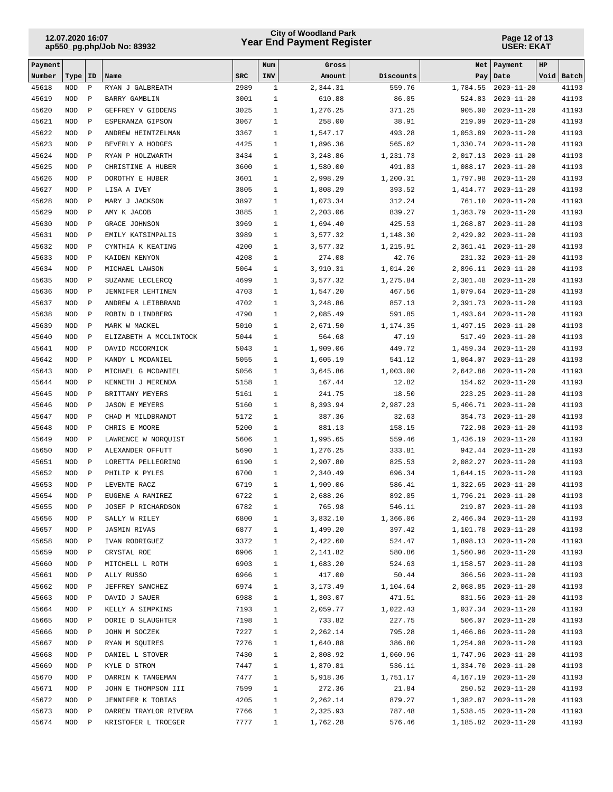## **Year End Payment Register City of Woodland Park 12.07.2020 16:07**

#### **Page 12 of 13 USER: EKAT**

| Payment        |                          |                              |                                          |              | Num                          | Gross                |                    | Net                  | Payment                                  | HP |                |
|----------------|--------------------------|------------------------------|------------------------------------------|--------------|------------------------------|----------------------|--------------------|----------------------|------------------------------------------|----|----------------|
| Number         | Type                     | ID                           | Name                                     | <b>SRC</b>   | INV                          | Amount               | Discounts          | Pay                  | Date                                     |    | Void Batch     |
| 45618          | <b>NOD</b>               | $\, {\bf P}$                 | RYAN J GALBREATH                         | 2989         | $\mathbf{1}$                 | 2,344.31             | 559.76             | 1,784.55             | $2020 - 11 - 20$                         |    | 41193          |
| 45619          | <b>NOD</b>               | $\, {\bf P}$                 | BARRY GAMBLIN                            | 3001         | $\mathbf{1}$                 | 610.88               | 86.05              | 524.83               | $2020 - 11 - 20$                         |    | 41193          |
| 45620          | <b>NOD</b>               | $\, {\bf P}$                 | GEFFREY V GIDDENS                        | 3025         | $\mathbf{1}$                 | 1,276.25             | 371.25             | 905.00               | $2020 - 11 - 20$                         |    | 41193          |
| 45621          | <b>NOD</b>               | $\, {\bf P}$                 | ESPERANZA GIPSON                         | 3067         | $\mathbf{1}$                 | 258.00               | 38.91              | 219.09               | $2020 - 11 - 20$                         |    | 41193          |
| 45622          | <b>NOD</b>               | $\, {\bf P}$                 | ANDREW HEINTZELMAN                       | 3367         | $\mathbf{1}$<br>$\mathbf{1}$ | 1,547.17             | 493.28             | 1,053.89             | $2020 - 11 - 20$                         |    | 41193          |
| 45623<br>45624 | <b>NOD</b><br><b>NOD</b> | $\, {\bf P}$<br>$\, {\bf P}$ | BEVERLY A HODGES<br>RYAN P HOLZWARTH     | 4425<br>3434 | $\mathbf{1}$                 | 1,896.36<br>3,248.86 | 565.62<br>1,231.73 | 1,330.74<br>2,017.13 | $2020 - 11 - 20$<br>$2020 - 11 - 20$     |    | 41193<br>41193 |
| 45625          | <b>NOD</b>               | $\, {\bf P}$                 | CHRISTINE A HUBER                        | 3600         | $\mathbf{1}$                 | 1,580.00             | 491.83             | 1,088.17             | $2020 - 11 - 20$                         |    | 41193          |
| 45626          | <b>NOD</b>               | $\, {\bf P}$                 | DOROTHY E HUBER                          | 3601         | $\mathbf{1}$                 | 2,998.29             | 1,200.31           | 1,797.98             | $2020 - 11 - 20$                         |    | 41193          |
| 45627          | <b>NOD</b>               | $\, {\bf P}$                 | LISA A IVEY                              | 3805         | $\mathbf{1}$                 | 1,808.29             | 393.52             | 1,414.77             | $2020 - 11 - 20$                         |    | 41193          |
| 45628          | <b>NOD</b>               | $\, {\bf P}$                 | MARY J JACKSON                           | 3897         | $\mathbf{1}$                 | 1,073.34             | 312.24             | 761.10               | $2020 - 11 - 20$                         |    | 41193          |
| 45629          | <b>NOD</b>               | $\, {\bf P}$                 | AMY K JACOB                              | 3885         | $\mathbf{1}$                 | 2,203.06             | 839.27             | 1,363.79             | $2020 - 11 - 20$                         |    | 41193          |
| 45630          | <b>NOD</b>               | $\, {\bf P}$                 | GRACE JOHNSON                            | 3969         | $\mathbf{1}$                 | 1,694.40             | 425.53             | 1,268.87             | $2020 - 11 - 20$                         |    | 41193          |
| 45631          | <b>NOD</b>               | $\, {\bf P}$                 | EMILY KATSIMPALIS                        | 3989         | $\mathbf{1}$                 | 3,577.32             | 1,148.30           | 2,429.02             | $2020 - 11 - 20$                         |    | 41193          |
| 45632          | <b>NOD</b>               | $\, {\bf P}$                 | CYNTHIA K KEATING                        | 4200         | $\mathbf{1}$                 | 3,577.32             | 1,215.91           | 2,361.41             | $2020 - 11 - 20$                         |    | 41193          |
| 45633          | <b>NOD</b>               | $\, {\bf P}$                 | KAIDEN KENYON                            | 4208         | $\mathbf{1}$                 | 274.08               | 42.76              | 231.32               | $2020 - 11 - 20$                         |    | 41193          |
| 45634          | <b>NOD</b>               | $\, {\bf P}$                 | MICHAEL LAWSON                           | 5064         | $\mathbf{1}$                 | 3,910.31             | 1,014.20           | 2,896.11             | $2020 - 11 - 20$                         |    | 41193          |
| 45635          | <b>NOD</b>               | $\, {\bf P}$                 | SUZANNE LECLERCQ                         | 4699         | $\mathbf{1}$                 | 3,577.32             | 1,275.84           | 2,301.48             | $2020 - 11 - 20$                         |    | 41193          |
| 45636          | <b>NOD</b>               | $\, {\bf P}$                 | <b>JENNIFER LEHTINEN</b>                 | 4703         | $\mathbf{1}$                 | 1,547.20             | 467.56             | 1,079.64             | $2020 - 11 - 20$                         |    | 41193          |
| 45637          | <b>NOD</b>               | $\, {\bf P}$                 | ANDREW A LEIBBRAND                       | 4702         | $\mathbf{1}$                 | 3,248.86             | 857.13             | 2,391.73             | $2020 - 11 - 20$                         |    | 41193          |
| 45638          | <b>NOD</b>               | $\, {\bf P}$                 | ROBIN D LINDBERG                         | 4790         | $\mathbf{1}$                 | 2,085.49             | 591.85             | 1,493.64             | $2020 - 11 - 20$                         |    | 41193          |
| 45639          | <b>NOD</b>               | $\, {\bf P}$                 | MARK W MACKEL                            | 5010         | $\mathbf{1}$                 | 2,671.50             | 1,174.35           | 1,497.15             | $2020 - 11 - 20$                         |    | 41193          |
| 45640          | <b>NOD</b>               | $\, {\bf P}$                 | ELIZABETH A MCCLINTOCK                   | 5044         | $\mathbf{1}$                 | 564.68               | 47.19              | 517.49               | $2020 - 11 - 20$                         |    | 41193          |
| 45641          | <b>NOD</b>               | $\, {\bf P}$                 | DAVID MCCORMICK                          | 5043         | $\mathbf{1}$                 | 1,909.06             | 449.72             | 1,459.34             | $2020 - 11 - 20$                         |    | 41193          |
| 45642          | <b>NOD</b>               | $\, {\bf P}$                 | KANDY L MCDANIEL                         | 5055         | $\mathbf{1}$                 | 1,605.19             | 541.12             | 1,064.07             | $2020 - 11 - 20$                         |    | 41193          |
| 45643          | <b>NOD</b>               | $\, {\bf P}$                 | MICHAEL G MCDANIEL                       | 5056         | $\mathbf{1}$                 | 3,645.86             | 1,003.00           | 2,642.86             | $2020 - 11 - 20$                         |    | 41193          |
| 45644<br>45645 | <b>NOD</b>               | $\, {\bf P}$<br>$\mathbf{P}$ | KENNETH J MERENDA                        | 5158<br>5161 | $\mathbf{1}$<br>$\mathbf{1}$ | 167.44<br>241.75     | 12.82              | 154.62               | $2020 - 11 - 20$                         |    | 41193<br>41193 |
| 45646          | <b>NOD</b><br><b>NOD</b> | $\mathbf{P}$                 | BRITTANY MEYERS<br><b>JASON E MEYERS</b> | 5160         | $\mathbf{1}$                 | 8,393.94             | 18.50<br>2,987.23  | 223.25<br>5,406.71   | $2020 - 11 - 20$<br>$2020 - 11 - 20$     |    | 41193          |
| 45647          | <b>NOD</b>               | $\, {\bf P}$                 | CHAD M MILDBRANDT                        | 5172         | $\mathbf{1}$                 | 387.36               | 32.63              | 354.73               | $2020 - 11 - 20$                         |    | 41193          |
| 45648          | <b>NOD</b>               | $\, {\bf P}$                 | CHRIS E MOORE                            | 5200         | $\mathbf{1}$                 | 881.13               | 158.15             | 722.98               | $2020 - 11 - 20$                         |    | 41193          |
| 45649          | <b>NOD</b>               | $\, {\bf P}$                 | LAWRENCE W NORQUIST                      | 5606         | $\mathbf{1}$                 | 1,995.65             | 559.46             | 1,436.19             | $2020 - 11 - 20$                         |    | 41193          |
| 45650          | <b>NOD</b>               | $\, {\bf P}$                 | ALEXANDER OFFUTT                         | 5690         | $\mathbf{1}$                 | 1,276.25             | 333.81             | 942.44               | $2020 - 11 - 20$                         |    | 41193          |
| 45651          | <b>NOD</b>               | $\mathbf{P}$                 | LORETTA PELLEGRINO                       | 6190         | $\mathbf{1}$                 | 2,907.80             | 825.53             | 2,082.27             | $2020 - 11 - 20$                         |    | 41193          |
| 45652          | <b>NOD</b>               | $\, {\bf P}$                 | PHILIP K PYLES                           | 6700         | $\mathbf{1}$                 | 2,340.49             | 696.34             | 1,644.15             | $2020 - 11 - 20$                         |    | 41193          |
| 45653          | <b>NOD</b>               | $\mathbf{P}$                 | LEVENTE RACZ                             | 6719         | $\mathbf{1}$                 | 1,909.06             | 586.41             | 1,322.65             | $2020 - 11 - 20$                         |    | 41193          |
| 45654          | <b>NOD</b>               | $\mathbf{P}$                 | EUGENE A RAMIREZ                         | 6722         | $\mathbf{1}$                 | 2,688.26             | 892.05             |                      | 1,796.21 2020-11-20                      |    | 41193          |
| 45655          | NOD                      | P                            | JOSEF P RICHARDSON                       | 6782         | $\mathbf{1}$                 | 765.98               | 546.11             | 219.87               | $2020 - 11 - 20$                         |    | 41193          |
| 45656          | NOD                      | Ρ                            | SALLY W RILEY                            | 6800         | $\mathbf{1}$                 | 3,832.10             | 1,366.06           |                      | 2,466.04 2020-11-20                      |    | 41193          |
| 45657          | NOD                      | Ρ                            | <b>JASMIN RIVAS</b>                      | 6877         | $\mathbf{1}$                 | 1,499.20             | 397.42             |                      | 1,101.78 2020-11-20                      |    | 41193          |
| 45658          | $\rm NOD$                | $\, {\bf P}$                 | IVAN RODRIGUEZ                           | 3372         | $\mathbf{1}$                 | 2,422.60             | 524.47             |                      | 1,898.13 2020-11-20                      |    | 41193          |
| 45659          | NOD                      | Ρ                            | CRYSTAL ROE                              | 6906         | $\mathbf{1}$                 | 2,141.82             | 580.86             |                      | 1,560.96 2020-11-20                      |    | 41193          |
| 45660          | $\rm NOD$                | $\, {\bf P}$                 | MITCHELL L ROTH                          | 6903         | $\mathbf{1}$                 | 1,683.20             | 524.63             |                      | 1, 158.57 2020-11-20                     |    | 41193          |
| 45661          | NOD                      | Ρ                            | ALLY RUSSO                               | 6966         | $\mathbf{1}$                 | 417.00               | 50.44              |                      | 366.56 2020-11-20                        |    | 41193          |
| 45662          | NOD                      | Ρ                            | JEFFREY SANCHEZ                          | 6974         | $\mathbf{1}$                 | 3,173.49             | 1,104.64           |                      | 2,068.85 2020-11-20                      |    | 41193          |
| 45663          | NOD                      | $\, {\bf P}$                 | DAVID J SAUER                            | 6988         | $\mathbf{1}$                 | 1,303.07             | 471.51             |                      | 831.56 2020-11-20                        |    | 41193          |
| 45664          | NOD                      | $\, {\bf P}$                 | KELLY A SIMPKINS                         | 7193         | $\mathbf{1}$                 | 2,059.77             | 1,022.43           |                      | 1,037.34 2020-11-20                      |    | 41193          |
| 45665<br>45666 | NOD<br>NOD               | $\, {\bf P}$<br>$\, {\bf P}$ | DORIE D SLAUGHTER<br>JOHN M SOCZEK       | 7198<br>7227 | $\mathbf{1}$<br>$\mathbf{1}$ | 733.82<br>2,262.14   | 227.75<br>795.28   |                      | 506.07 2020-11-20<br>1,466.86 2020-11-20 |    | 41193<br>41193 |
| 45667          | $\rm NOD$                | $\, {\bf P}$                 | RYAN M SQUIRES                           | 7276         | $\mathbf{1}$                 | 1,640.88             | 386.80             |                      | 1,254.08 2020-11-20                      |    | 41193          |
| 45668          | NOD                      | $\, {\bf P}$                 | DANIEL L STOVER                          | 7430         | $\mathbf{1}$                 | 2,808.92             | 1,060.96           |                      | 1,747.96 2020-11-20                      |    | 41193          |
| 45669          | $\rm NOD$                | $\, {\bf P}$                 | KYLE D STROM                             | 7447         | $\mathbf{1}$                 | 1,870.81             | 536.11             |                      | 1,334.70 2020-11-20                      |    | 41193          |
| 45670          | NOD                      | Ρ                            | DARRIN K TANGEMAN                        | 7477         | $\mathbf{1}$                 | 5,918.36             | 1,751.17           |                      | 4, 167. 19  2020 - 11 - 20               |    | 41193          |
| 45671          | NOD                      | Ρ                            | JOHN E THOMPSON III                      | 7599         | $\mathbf{1}$                 | 272.36               | 21.84              |                      | 250.52 2020-11-20                        |    | 41193          |
| 45672          | NOD                      | Ρ                            | JENNIFER K TOBIAS                        | 4205         | $\mathbf{1}$                 | 2,262.14             | 879.27             |                      | 1,382.87 2020-11-20                      |    | 41193          |
| 45673          | NOD                      | Ρ                            | DARREN TRAYLOR RIVERA                    | 7766         | $\mathbf{1}$                 | 2,325.93             | 787.48             |                      | 1,538.45 2020-11-20                      |    | 41193          |
| 45674          | $\rm NOD$                | $\, {\bf P}$                 | KRISTOFER L TROEGER                      | 7777         | $\mathbf{1}$                 | 1,762.28             | 576.46             |                      | 1,185.82 2020-11-20                      |    | 41193          |
|                |                          |                              |                                          |              |                              |                      |                    |                      |                                          |    |                |